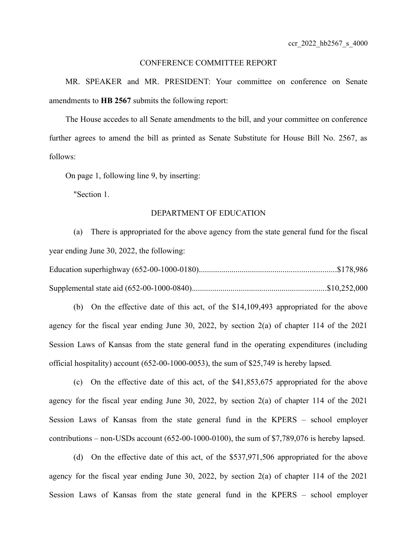#### CONFERENCE COMMITTEE REPORT

MR. SPEAKER and MR. PRESIDENT: Your committee on conference on Senate amendments to **HB 2567** submits the following report:

The House accedes to all Senate amendments to the bill, and your committee on conference further agrees to amend the bill as printed as Senate Substitute for House Bill No. 2567, as follows:

On page 1, following line 9, by inserting:

"Section 1.

## DEPARTMENT OF EDUCATION

(a) There is appropriated for the above agency from the state general fund for the fiscal year ending June 30, 2022, the following:

(b) On the effective date of this act, of the \$14,109,493 appropriated for the above agency for the fiscal year ending June 30, 2022, by section 2(a) of chapter 114 of the 2021 Session Laws of Kansas from the state general fund in the operating expenditures (including official hospitality) account (652-00-1000-0053), the sum of \$25,749 is hereby lapsed.

(c) On the effective date of this act, of the \$41,853,675 appropriated for the above agency for the fiscal year ending June 30, 2022, by section 2(a) of chapter 114 of the 2021 Session Laws of Kansas from the state general fund in the KPERS – school employer contributions – non-USDs account (652-00-1000-0100), the sum of \$7,789,076 is hereby lapsed.

(d) On the effective date of this act, of the \$537,971,506 appropriated for the above agency for the fiscal year ending June 30, 2022, by section 2(a) of chapter 114 of the 2021 Session Laws of Kansas from the state general fund in the KPERS – school employer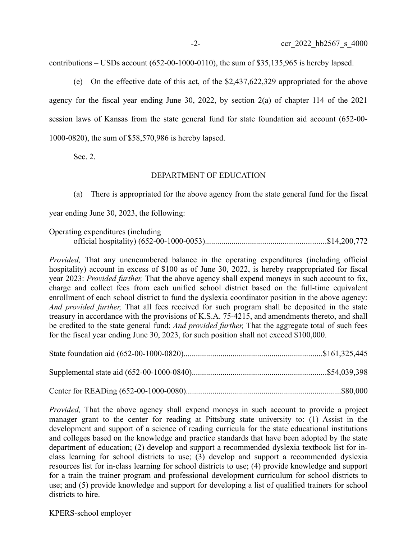contributions – USDs account (652-00-1000-0110), the sum of \$35,135,965 is hereby lapsed.

(e) On the effective date of this act, of the \$2,437,622,329 appropriated for the above agency for the fiscal year ending June 30, 2022, by section 2(a) of chapter 114 of the 2021 session laws of Kansas from the state general fund for state foundation aid account (652-00- 1000-0820), the sum of \$58,570,986 is hereby lapsed.

Sec. 2.

## DEPARTMENT OF EDUCATION

(a) There is appropriated for the above agency from the state general fund for the fiscal

year ending June 30, 2023, the following:

Operating expenditures (including official hospitality) (652-00-1000-0053)...........................................................\$14,200,772

*Provided,* That any unencumbered balance in the operating expenditures (including official hospitality) account in excess of \$100 as of June 30, 2022, is hereby reappropriated for fiscal year 2023: *Provided further,* That the above agency shall expend moneys in such account to fix, charge and collect fees from each unified school district based on the full-time equivalent enrollment of each school district to fund the dyslexia coordinator position in the above agency: *And provided further,* That all fees received for such program shall be deposited in the state treasury in accordance with the provisions of K.S.A. 75-4215, and amendments thereto, and shall be credited to the state general fund: *And provided further,* That the aggregate total of such fees for the fiscal year ending June 30, 2023, for such position shall not exceed \$100,000.

| $\alpha$ $\alpha$ $\mathbb{R}$ $\mathbb{R}$ $\mathbb{R}$ $\mathbb{R}$ $\mathbb{R}$ $\mathbb{R}$ $\mathbb{R}$ $\mathbb{R}$ $\mathbb{R}$ $\mathbb{R}$ $\mathbb{R}$ $\mathbb{R}$ $\mathbb{R}$ $\mathbb{R}$ $\mathbb{R}$ $\mathbb{R}$ $\mathbb{R}$ $\mathbb{R}$ $\mathbb{R}$ $\mathbb{R}$ $\mathbb{R}$ $\mathbb{R}$ $\mathbb{R}$ $\mathbb$ | $\triangle$ $\triangle$ $\triangle$ $\triangle$ |
|----------------------------------------------------------------------------------------------------------------------------------------------------------------------------------------------------------------------------------------------------------------------------------------------------------------------------------------|-------------------------------------------------|

|--|--|

*Provided*, That the above agency shall expend moneys in such account to provide a project manager grant to the center for reading at Pittsburg state university to: (1) Assist in the development and support of a science of reading curricula for the state educational institutions and colleges based on the knowledge and practice standards that have been adopted by the state department of education; (2) develop and support a recommended dyslexia textbook list for inclass learning for school districts to use; (3) develop and support a recommended dyslexia resources list for in-class learning for school districts to use; (4) provide knowledge and support for a train the trainer program and professional development curriculum for school districts to use; and (5) provide knowledge and support for developing a list of qualified trainers for school districts to hire.

KPERS-school employer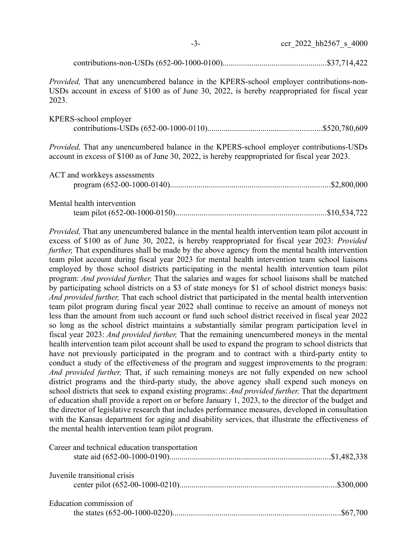| - 2- |  | ccr 2022 hb2567 s 4000 |  |
|------|--|------------------------|--|
|      |  |                        |  |

contributions-non-USDs (652-00-1000-0100)...................................................\$37,714,422

*Provided,* That any unencumbered balance in the KPERS-school employer contributions-non-USDs account in excess of \$100 as of June 30, 2022, is hereby reappropriated for fiscal year 2023.

| KPERS-school employer |  |
|-----------------------|--|
|                       |  |

*Provided,* That any unencumbered balance in the KPERS-school employer contributions-USDs account in excess of \$100 as of June 30, 2022, is hereby reappropriated for fiscal year 2023.

| ACT and workkeys assessments |  |
|------------------------------|--|
| Mental health intervention   |  |
|                              |  |

*Provided,* That any unencumbered balance in the mental health intervention team pilot account in excess of \$100 as of June 30, 2022, is hereby reappropriated for fiscal year 2023: *Provided further*, That expenditures shall be made by the above agency from the mental health intervention team pilot account during fiscal year 2023 for mental health intervention team school liaisons employed by those school districts participating in the mental health intervention team pilot program: *And provided further,* That the salaries and wages for school liaisons shall be matched by participating school districts on a \$3 of state moneys for \$1 of school district moneys basis: *And provided further,* That each school district that participated in the mental health intervention team pilot program during fiscal year 2022 shall continue to receive an amount of moneys not less than the amount from such account or fund such school district received in fiscal year 2022 so long as the school district maintains a substantially similar program participation level in fiscal year 2023: *And provided further,* That the remaining unencumbered moneys in the mental health intervention team pilot account shall be used to expand the program to school districts that have not previously participated in the program and to contract with a third-party entity to conduct a study of the effectiveness of the program and suggest improvements to the program: *And provided further,* That, if such remaining moneys are not fully expended on new school district programs and the third-party study, the above agency shall expend such moneys on school districts that seek to expand existing programs: *And provided further,* That the department of education shall provide a report on or before January 1, 2023, to the director of the budget and the director of legislative research that includes performance measures, developed in consultation with the Kansas department for aging and disability services, that illustrate the effectiveness of the mental health intervention team pilot program.

| Career and technical education transportation |  |
|-----------------------------------------------|--|
| Juvenile transitional crisis                  |  |
| Education commission of                       |  |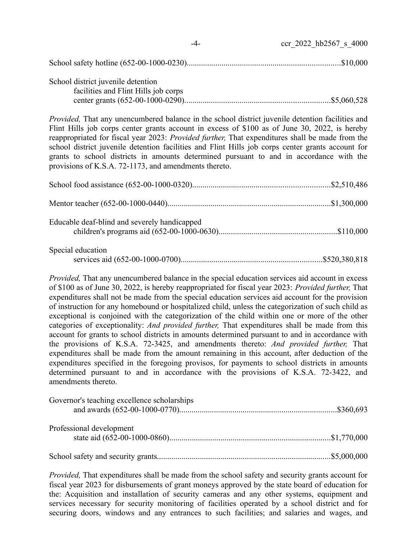|                                                                            | ccr 2022 hb2567 s 4000 |
|----------------------------------------------------------------------------|------------------------|
|                                                                            |                        |
| School district juvenile detention<br>facilities and Flint Hills job corps |                        |

*Provided,* That any unencumbered balance in the school district juvenile detention facilities and Flint Hills job corps center grants account in excess of \$100 as of June 30, 2022, is hereby reappropriated for fiscal year 2023: *Provided further,* That expenditures shall be made from the school district juvenile detention facilities and Flint Hills job corps center grants account for grants to school districts in amounts determined pursuant to and in accordance with the provisions of K.S.A. 72-1173, and amendments thereto.

| Educable deaf-blind and severely handicapped |  |
|----------------------------------------------|--|
| Special education                            |  |

*Provided,* That any unencumbered balance in the special education services aid account in excess of \$100 as of June 30, 2022, is hereby reappropriated for fiscal year 2023: *Provided further,* That expenditures shall not be made from the special education services aid account for the provision of instruction for any homebound or hospitalized child, unless the categorization of such child as exceptional is conjoined with the categorization of the child within one or more of the other categories of exceptionality: *And provided further,* That expenditures shall be made from this account for grants to school districts in amounts determined pursuant to and in accordance with the provisions of K.S.A. 72-3425, and amendments thereto: *And provided further,* That expenditures shall be made from the amount remaining in this account, after deduction of the expenditures specified in the foregoing provisos, for payments to school districts in amounts determined pursuant to and in accordance with the provisions of K.S.A. 72-3422, and amendments thereto.

| Governor's teaching excellence scholarships |  |
|---------------------------------------------|--|
| Professional development                    |  |
|                                             |  |

*Provided,* That expenditures shall be made from the school safety and security grants account for fiscal year 2023 for disbursements of grant moneys approved by the state board of education for the: Acquisition and installation of security cameras and any other systems, equipment and services necessary for security monitoring of facilities operated by a school district and for securing doors, windows and any entrances to such facilities; and salaries and wages, and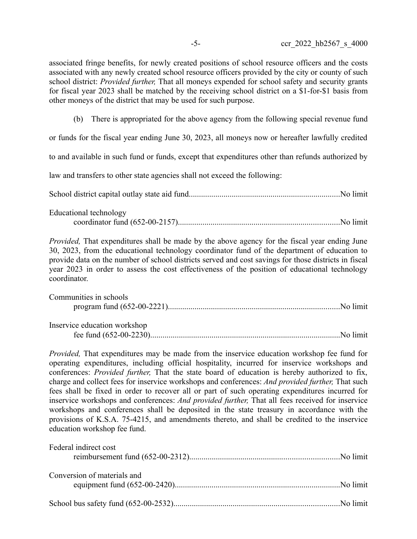associated fringe benefits, for newly created positions of school resource officers and the costs associated with any newly created school resource officers provided by the city or county of such school district: *Provided further,* That all moneys expended for school safety and security grants for fiscal year 2023 shall be matched by the receiving school district on a \$1-for-\$1 basis from other moneys of the district that may be used for such purpose.

(b) There is appropriated for the above agency from the following special revenue fund

or funds for the fiscal year ending June 30, 2023, all moneys now or hereafter lawfully credited

to and available in such fund or funds, except that expenditures other than refunds authorized by

law and transfers to other state agencies shall not exceed the following:

School district capital outlay state aid fund..........................................................................No limit

| Educational technology |  |
|------------------------|--|
|                        |  |

*Provided,* That expenditures shall be made by the above agency for the fiscal year ending June 30, 2023, from the educational technology coordinator fund of the department of education to provide data on the number of school districts served and cost savings for those districts in fiscal year 2023 in order to assess the cost effectiveness of the position of educational technology coordinator.

| Communities in schools       |  |
|------------------------------|--|
|                              |  |
|                              |  |
| Inservice education workshop |  |

fee fund (652-00-2230).............................................................................................No limit

*Provided,* That expenditures may be made from the inservice education workshop fee fund for operating expenditures, including official hospitality, incurred for inservice workshops and conferences: *Provided further,* That the state board of education is hereby authorized to fix, charge and collect fees for inservice workshops and conferences: *And provided further,* That such fees shall be fixed in order to recover all or part of such operating expenditures incurred for inservice workshops and conferences: *And provided further,* That all fees received for inservice workshops and conferences shall be deposited in the state treasury in accordance with the provisions of K.S.A. 75-4215, and amendments thereto, and shall be credited to the inservice education workshop fee fund.

| Federal indirect cost       |  |
|-----------------------------|--|
| Conversion of materials and |  |
|                             |  |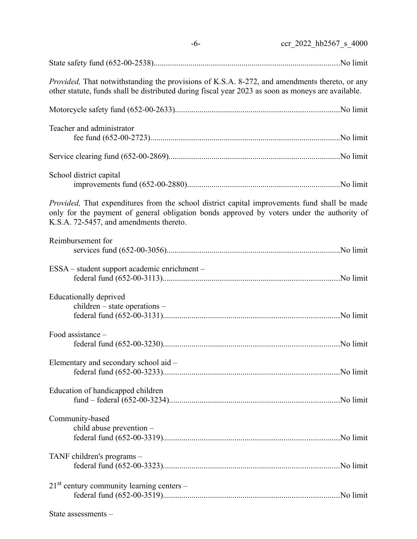| $-6-$                                                   | ccr 2022 hb2567 s 4000                                                                                                                                                                                      |
|---------------------------------------------------------|-------------------------------------------------------------------------------------------------------------------------------------------------------------------------------------------------------------|
|                                                         |                                                                                                                                                                                                             |
|                                                         | <i>Provided</i> , That notwithstanding the provisions of K.S.A. 8-272, and amendments thereto, or any<br>other statute, funds shall be distributed during fiscal year 2023 as soon as moneys are available. |
|                                                         |                                                                                                                                                                                                             |
| Teacher and administrator                               |                                                                                                                                                                                                             |
|                                                         |                                                                                                                                                                                                             |
| School district capital                                 |                                                                                                                                                                                                             |
| K.S.A. 72-5457, and amendments thereto.                 | <i>Provided</i> , That expenditures from the school district capital improvements fund shall be made<br>only for the payment of general obligation bonds approved by voters under the authority of          |
| Reimbursement for                                       |                                                                                                                                                                                                             |
| ESSA – student support academic enrichment –            |                                                                                                                                                                                                             |
| Educationally deprived<br>children - state operations - |                                                                                                                                                                                                             |
| Food assistance -                                       |                                                                                                                                                                                                             |
| Elementary and secondary school aid -                   |                                                                                                                                                                                                             |
| Education of handicapped children                       |                                                                                                                                                                                                             |
| Community-based<br>child abuse prevention -             |                                                                                                                                                                                                             |
| TANF children's programs -                              |                                                                                                                                                                                                             |
| $21st$ century community learning centers –             |                                                                                                                                                                                                             |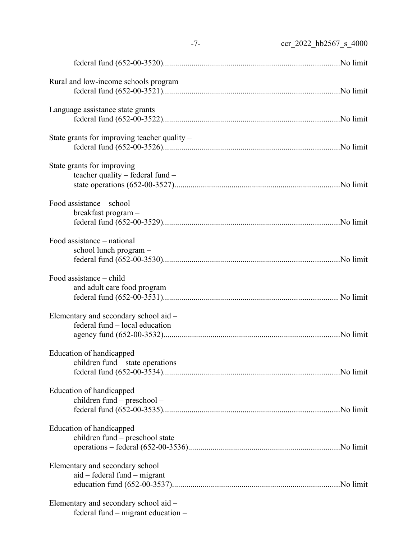|                                                                             | $-7-$<br>ccr 2022 hb2567 s 4000 |
|-----------------------------------------------------------------------------|---------------------------------|
|                                                                             |                                 |
| Rural and low-income schools program –                                      |                                 |
| Language assistance state grants -                                          |                                 |
| State grants for improving teacher quality $-$                              |                                 |
| State grants for improving<br>teacher quality - federal fund -              |                                 |
| Food assistance – school<br>breakfast program -                             |                                 |
| Food assistance - national<br>school lunch program -                        |                                 |
| Food assistance - child<br>and adult care food program -                    |                                 |
| Elementary and secondary school aid -<br>federal fund – local education     |                                 |
| Education of handicapped<br>children fund – state operations –              |                                 |
| Education of handicapped<br>children fund - preschool -                     |                                 |
| Education of handicapped<br>children fund – preschool state                 |                                 |
| Elementary and secondary school<br>$aid - federal fund - migrant$           |                                 |
| Elementary and secondary school aid –<br>federal fund – migrant education – |                                 |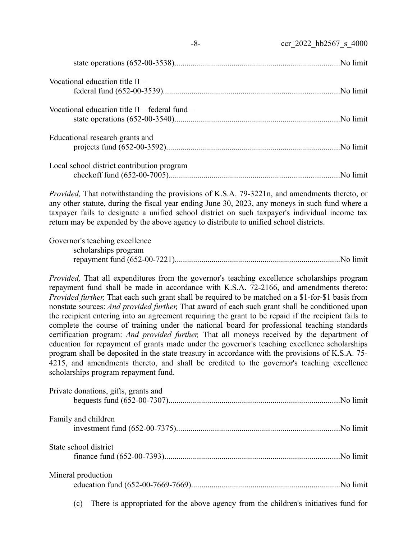| Vocational education title $II -$                |  |
|--------------------------------------------------|--|
| Vocational education title $II$ – federal fund – |  |
| Educational research grants and                  |  |
| Local school district contribution program       |  |

-8- ccr\_2022\_hb2567\_s\_4000

*Provided,* That notwithstanding the provisions of K.S.A. 79-3221n, and amendments thereto, or any other statute, during the fiscal year ending June 30, 2023, any moneys in such fund where a taxpayer fails to designate a unified school district on such taxpayer's individual income tax return may be expended by the above agency to distribute to unified school districts.

| Governor's teaching excellence |  |
|--------------------------------|--|
| scholarships program           |  |
|                                |  |

*Provided,* That all expenditures from the governor's teaching excellence scholarships program repayment fund shall be made in accordance with K.S.A. 72-2166, and amendments thereto: *Provided further,* That each such grant shall be required to be matched on a \$1-for-\$1 basis from nonstate sources: *And provided further,* That award of each such grant shall be conditioned upon the recipient entering into an agreement requiring the grant to be repaid if the recipient fails to complete the course of training under the national board for professional teaching standards certification program: *And provided further,* That all moneys received by the department of education for repayment of grants made under the governor's teaching excellence scholarships program shall be deposited in the state treasury in accordance with the provisions of K.S.A. 75- 4215, and amendments thereto, and shall be credited to the governor's teaching excellence scholarships program repayment fund.

| Private donations, gifts, grants and |  |
|--------------------------------------|--|
| Family and children                  |  |
| State school district                |  |
| Mineral production                   |  |

(c) There is appropriated for the above agency from the children's initiatives fund for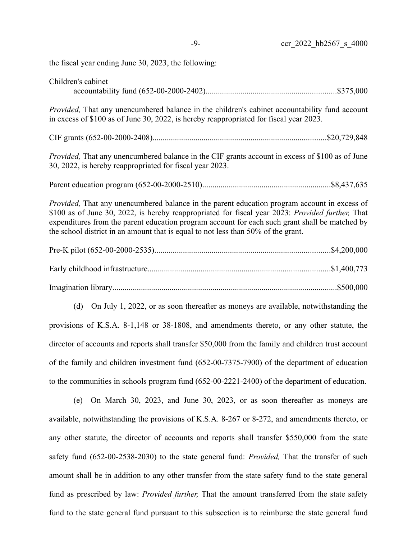the fiscal year ending June 30, 2023, the following:

| Children's cabinet                                                                                                                                                                                                                                                                                                                                                                              |  |
|-------------------------------------------------------------------------------------------------------------------------------------------------------------------------------------------------------------------------------------------------------------------------------------------------------------------------------------------------------------------------------------------------|--|
| Provided, That any unencumbered balance in the children's cabinet accountability fund account<br>in excess of \$100 as of June 30, 2022, is hereby reappropriated for fiscal year 2023.                                                                                                                                                                                                         |  |
|                                                                                                                                                                                                                                                                                                                                                                                                 |  |
| <i>Provided</i> , That any unencumbered balance in the CIF grants account in excess of \$100 as of June<br>30, 2022, is hereby reappropriated for fiscal year 2023.                                                                                                                                                                                                                             |  |
|                                                                                                                                                                                                                                                                                                                                                                                                 |  |
| <i>Provided</i> , That any unencumbered balance in the parent education program account in excess of<br>\$100 as of June 30, 2022, is hereby reappropriated for fiscal year 2023: Provided further, That<br>expenditures from the parent education program account for each such grant shall be matched by<br>the school district in an amount that is equal to not less than 50% of the grant. |  |
|                                                                                                                                                                                                                                                                                                                                                                                                 |  |
|                                                                                                                                                                                                                                                                                                                                                                                                 |  |
|                                                                                                                                                                                                                                                                                                                                                                                                 |  |
| (d) On July 1, 2022, or as soon thereafter as moneys are available, notwithstanding the                                                                                                                                                                                                                                                                                                         |  |
| provisions of K.S.A. 8-1,148 or 38-1808, and amendments thereto, or any other statute, the                                                                                                                                                                                                                                                                                                      |  |
| director of accounts and reports shall transfer \$50,000 from the family and children trust account                                                                                                                                                                                                                                                                                             |  |
| of the family and children investment fund (652-00-7375-7900) of the department of education                                                                                                                                                                                                                                                                                                    |  |
| to the communities in schools program fund (652-00-2221-2400) of the department of education.                                                                                                                                                                                                                                                                                                   |  |
| On March 30, 2023, and June 30, 2023, or as soon thereafter as moneys are<br>(e)                                                                                                                                                                                                                                                                                                                |  |
| available, notwithstanding the provisions of K.S.A. 8-267 or 8-272, and amendments thereto, or                                                                                                                                                                                                                                                                                                  |  |
|                                                                                                                                                                                                                                                                                                                                                                                                 |  |

any other statute, the director of accounts and reports shall transfer \$550,000 from the state safety fund (652-00-2538-2030) to the state general fund: *Provided,* That the transfer of such amount shall be in addition to any other transfer from the state safety fund to the state general fund as prescribed by law: *Provided further,* That the amount transferred from the state safety fund to the state general fund pursuant to this subsection is to reimburse the state general fund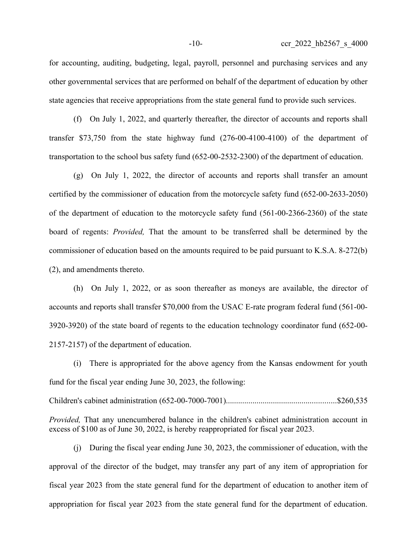for accounting, auditing, budgeting, legal, payroll, personnel and purchasing services and any other governmental services that are performed on behalf of the department of education by other state agencies that receive appropriations from the state general fund to provide such services.

(f) On July 1, 2022, and quarterly thereafter, the director of accounts and reports shall transfer \$73,750 from the state highway fund (276-00-4100-4100) of the department of transportation to the school bus safety fund (652-00-2532-2300) of the department of education.

(g) On July 1, 2022, the director of accounts and reports shall transfer an amount certified by the commissioner of education from the motorcycle safety fund (652-00-2633-2050) of the department of education to the motorcycle safety fund (561-00-2366-2360) of the state board of regents: *Provided,* That the amount to be transferred shall be determined by the commissioner of education based on the amounts required to be paid pursuant to K.S.A. 8-272(b) (2), and amendments thereto.

(h) On July 1, 2022, or as soon thereafter as moneys are available, the director of accounts and reports shall transfer \$70,000 from the USAC E-rate program federal fund (561-00- 3920-3920) of the state board of regents to the education technology coordinator fund (652-00- 2157-2157) of the department of education.

(i) There is appropriated for the above agency from the Kansas endowment for youth fund for the fiscal year ending June 30, 2023, the following:

Children's cabinet administration (652-00-7000-7001)......................................................\$260,535

*Provided,* That any unencumbered balance in the children's cabinet administration account in excess of \$100 as of June 30, 2022, is hereby reappropriated for fiscal year 2023.

(j) During the fiscal year ending June 30, 2023, the commissioner of education, with the approval of the director of the budget, may transfer any part of any item of appropriation for fiscal year 2023 from the state general fund for the department of education to another item of appropriation for fiscal year 2023 from the state general fund for the department of education.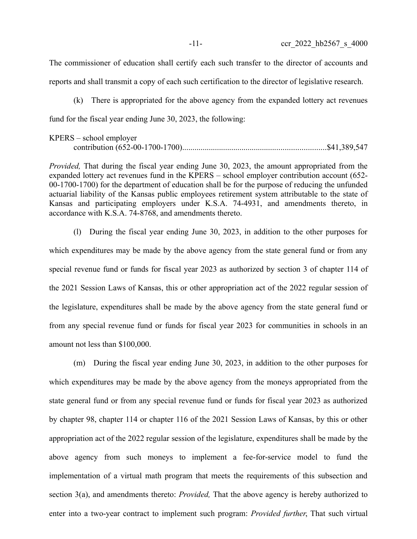The commissioner of education shall certify each such transfer to the director of accounts and reports and shall transmit a copy of each such certification to the director of legislative research.

(k) There is appropriated for the above agency from the expanded lottery act revenues fund for the fiscal year ending June 30, 2023, the following:

| $KPERS - school employer$ |  |
|---------------------------|--|
|                           |  |

*Provided,* That during the fiscal year ending June 30, 2023, the amount appropriated from the expanded lottery act revenues fund in the KPERS – school employer contribution account (652- 00-1700-1700) for the department of education shall be for the purpose of reducing the unfunded actuarial liability of the Kansas public employees retirement system attributable to the state of Kansas and participating employers under K.S.A. 74-4931, and amendments thereto, in accordance with K.S.A. 74-8768, and amendments thereto.

(l) During the fiscal year ending June 30, 2023, in addition to the other purposes for which expenditures may be made by the above agency from the state general fund or from any special revenue fund or funds for fiscal year 2023 as authorized by section 3 of chapter 114 of the 2021 Session Laws of Kansas, this or other appropriation act of the 2022 regular session of the legislature, expenditures shall be made by the above agency from the state general fund or from any special revenue fund or funds for fiscal year 2023 for communities in schools in an amount not less than \$100,000.

(m) During the fiscal year ending June 30, 2023, in addition to the other purposes for which expenditures may be made by the above agency from the moneys appropriated from the state general fund or from any special revenue fund or funds for fiscal year 2023 as authorized by chapter 98, chapter 114 or chapter 116 of the 2021 Session Laws of Kansas, by this or other appropriation act of the 2022 regular session of the legislature, expenditures shall be made by the above agency from such moneys to implement a fee-for-service model to fund the implementation of a virtual math program that meets the requirements of this subsection and section 3(a), and amendments thereto: *Provided,* That the above agency is hereby authorized to enter into a two-year contract to implement such program: *Provided further*, That such virtual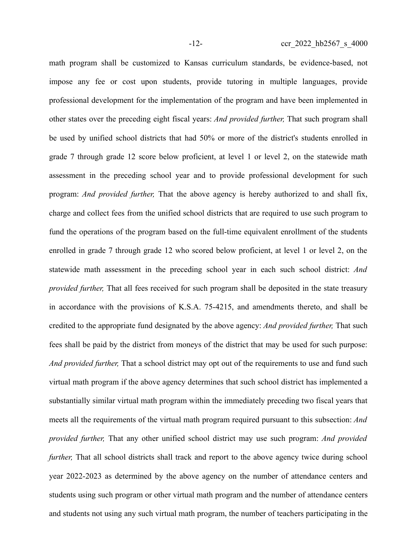math program shall be customized to Kansas curriculum standards, be evidence-based, not impose any fee or cost upon students, provide tutoring in multiple languages, provide professional development for the implementation of the program and have been implemented in other states over the preceding eight fiscal years: *And provided further,* That such program shall be used by unified school districts that had 50% or more of the district's students enrolled in grade 7 through grade 12 score below proficient, at level 1 or level 2, on the statewide math assessment in the preceding school year and to provide professional development for such program: *And provided further,* That the above agency is hereby authorized to and shall fix, charge and collect fees from the unified school districts that are required to use such program to fund the operations of the program based on the full-time equivalent enrollment of the students enrolled in grade 7 through grade 12 who scored below proficient, at level 1 or level 2, on the statewide math assessment in the preceding school year in each such school district: *And provided further,* That all fees received for such program shall be deposited in the state treasury in accordance with the provisions of K.S.A. 75-4215, and amendments thereto, and shall be credited to the appropriate fund designated by the above agency: *And provided further,* That such fees shall be paid by the district from moneys of the district that may be used for such purpose: *And provided further,* That a school district may opt out of the requirements to use and fund such virtual math program if the above agency determines that such school district has implemented a substantially similar virtual math program within the immediately preceding two fiscal years that meets all the requirements of the virtual math program required pursuant to this subsection: *And provided further,* That any other unified school district may use such program: *And provided further*, That all school districts shall track and report to the above agency twice during school year 2022-2023 as determined by the above agency on the number of attendance centers and students using such program or other virtual math program and the number of attendance centers and students not using any such virtual math program, the number of teachers participating in the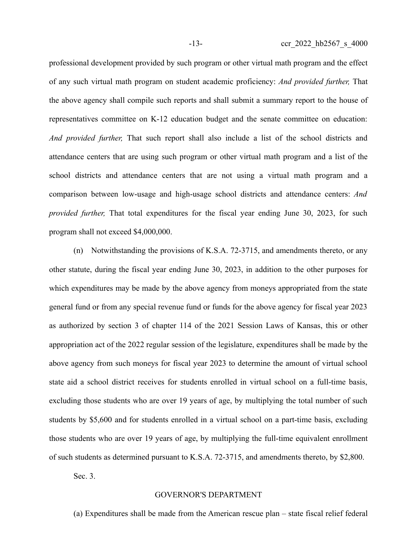professional development provided by such program or other virtual math program and the effect of any such virtual math program on student academic proficiency: *And provided further,* That the above agency shall compile such reports and shall submit a summary report to the house of representatives committee on K-12 education budget and the senate committee on education: *And provided further,* That such report shall also include a list of the school districts and attendance centers that are using such program or other virtual math program and a list of the school districts and attendance centers that are not using a virtual math program and a comparison between low-usage and high-usage school districts and attendance centers: *And provided further,* That total expenditures for the fiscal year ending June 30, 2023, for such program shall not exceed \$4,000,000.

(n) Notwithstanding the provisions of K.S.A. 72-3715, and amendments thereto, or any other statute, during the fiscal year ending June 30, 2023, in addition to the other purposes for which expenditures may be made by the above agency from moneys appropriated from the state general fund or from any special revenue fund or funds for the above agency for fiscal year 2023 as authorized by section 3 of chapter 114 of the 2021 Session Laws of Kansas, this or other appropriation act of the 2022 regular session of the legislature, expenditures shall be made by the above agency from such moneys for fiscal year 2023 to determine the amount of virtual school state aid a school district receives for students enrolled in virtual school on a full-time basis, excluding those students who are over 19 years of age, by multiplying the total number of such students by \$5,600 and for students enrolled in a virtual school on a part-time basis, excluding those students who are over 19 years of age, by multiplying the full-time equivalent enrollment of such students as determined pursuant to K.S.A. 72-3715, and amendments thereto, by \$2,800.

Sec. 3.

### GOVERNOR'S DEPARTMENT

(a) Expenditures shall be made from the American rescue plan – state fiscal relief federal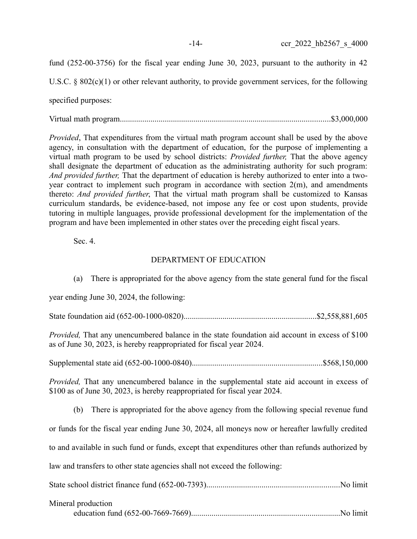fund (252-00-3756) for the fiscal year ending June 30, 2023, pursuant to the authority in 42

U.S.C. § 802(c)(1) or other relevant authority, to provide government services, for the following

specified purposes:

Virtual math program.......................................................................................................\$3,000,000

*Provided*, That expenditures from the virtual math program account shall be used by the above agency, in consultation with the department of education, for the purpose of implementing a virtual math program to be used by school districts: *Provided further,* That the above agency shall designate the department of education as the administrating authority for such program: *And provided further,* That the department of education is hereby authorized to enter into a twoyear contract to implement such program in accordance with section 2(m), and amendments thereto: *And provided further*, That the virtual math program shall be customized to Kansas curriculum standards, be evidence-based, not impose any fee or cost upon students, provide tutoring in multiple languages, provide professional development for the implementation of the program and have been implemented in other states over the preceding eight fiscal years.

Sec. 4.

# DEPARTMENT OF EDUCATION

(a) There is appropriated for the above agency from the state general fund for the fiscal year ending June 30, 2024, the following: State foundation aid (652-00-1000-0820).................................................................\$2,558,881,605 *Provided,* That any unencumbered balance in the state foundation aid account in excess of \$100 as of June 30, 2023, is hereby reappropriated for fiscal year 2024. Supplemental state aid (652-00-1000-0840)................................................................\$568,150,000 *Provided,* That any unencumbered balance in the supplemental state aid account in excess of \$100 as of June 30, 2023, is hereby reappropriated for fiscal year 2024. (b) There is appropriated for the above agency from the following special revenue fund or funds for the fiscal year ending June 30, 2024, all moneys now or hereafter lawfully credited to and available in such fund or funds, except that expenditures other than refunds authorized by law and transfers to other state agencies shall not exceed the following:

| Mineral production |  |
|--------------------|--|
|                    |  |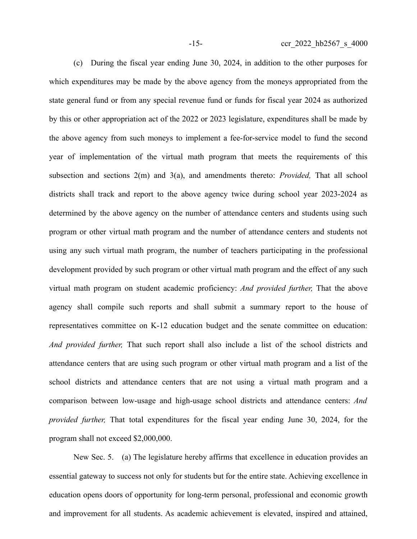(c) During the fiscal year ending June 30, 2024, in addition to the other purposes for which expenditures may be made by the above agency from the moneys appropriated from the state general fund or from any special revenue fund or funds for fiscal year 2024 as authorized by this or other appropriation act of the 2022 or 2023 legislature, expenditures shall be made by the above agency from such moneys to implement a fee-for-service model to fund the second year of implementation of the virtual math program that meets the requirements of this subsection and sections 2(m) and 3(a), and amendments thereto: *Provided,* That all school districts shall track and report to the above agency twice during school year 2023-2024 as determined by the above agency on the number of attendance centers and students using such program or other virtual math program and the number of attendance centers and students not using any such virtual math program, the number of teachers participating in the professional development provided by such program or other virtual math program and the effect of any such virtual math program on student academic proficiency: *And provided further,* That the above agency shall compile such reports and shall submit a summary report to the house of representatives committee on K-12 education budget and the senate committee on education: *And provided further,* That such report shall also include a list of the school districts and attendance centers that are using such program or other virtual math program and a list of the school districts and attendance centers that are not using a virtual math program and a comparison between low-usage and high-usage school districts and attendance centers: *And provided further,* That total expenditures for the fiscal year ending June 30, 2024, for the program shall not exceed \$2,000,000.

New Sec. 5. (a) The legislature hereby affirms that excellence in education provides an essential gateway to success not only for students but for the entire state. Achieving excellence in education opens doors of opportunity for long-term personal, professional and economic growth and improvement for all students. As academic achievement is elevated, inspired and attained,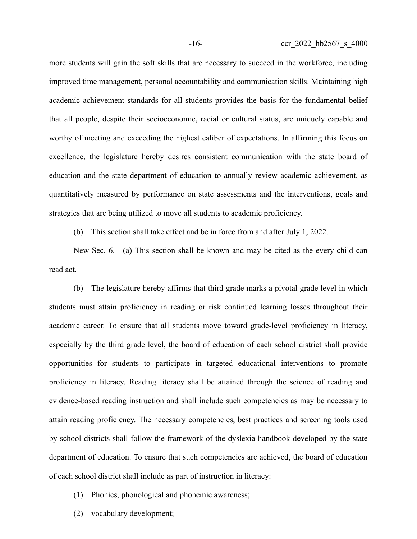more students will gain the soft skills that are necessary to succeed in the workforce, including improved time management, personal accountability and communication skills. Maintaining high academic achievement standards for all students provides the basis for the fundamental belief that all people, despite their socioeconomic, racial or cultural status, are uniquely capable and worthy of meeting and exceeding the highest caliber of expectations. In affirming this focus on excellence, the legislature hereby desires consistent communication with the state board of education and the state department of education to annually review academic achievement, as quantitatively measured by performance on state assessments and the interventions, goals and strategies that are being utilized to move all students to academic proficiency.

(b) This section shall take effect and be in force from and after July 1, 2022.

New Sec. 6. (a) This section shall be known and may be cited as the every child can read act.

(b) The legislature hereby affirms that third grade marks a pivotal grade level in which students must attain proficiency in reading or risk continued learning losses throughout their academic career. To ensure that all students move toward grade-level proficiency in literacy, especially by the third grade level, the board of education of each school district shall provide opportunities for students to participate in targeted educational interventions to promote proficiency in literacy. Reading literacy shall be attained through the science of reading and evidence-based reading instruction and shall include such competencies as may be necessary to attain reading proficiency. The necessary competencies, best practices and screening tools used by school districts shall follow the framework of the dyslexia handbook developed by the state department of education. To ensure that such competencies are achieved, the board of education of each school district shall include as part of instruction in literacy:

- (1) Phonics, phonological and phonemic awareness;
- (2) vocabulary development;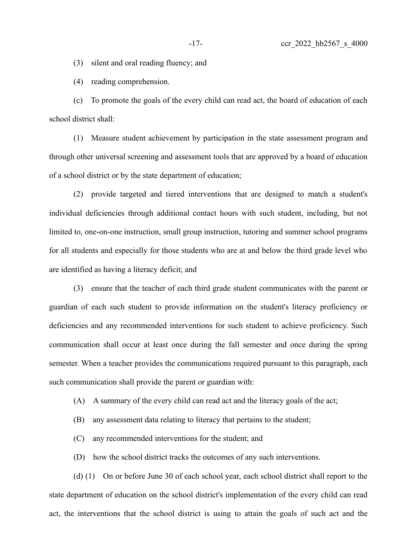(3) silent and oral reading fluency; and

(4) reading comprehension.

(c) To promote the goals of the every child can read act, the board of education of each school district shall:

(1) Measure student achievement by participation in the state assessment program and through other universal screening and assessment tools that are approved by a board of education of a school district or by the state department of education;

(2) provide targeted and tiered interventions that are designed to match a student's individual deficiencies through additional contact hours with such student, including, but not limited to, one-on-one instruction, small group instruction, tutoring and summer school programs for all students and especially for those students who are at and below the third grade level who are identified as having a literacy deficit; and

(3) ensure that the teacher of each third grade student communicates with the parent or guardian of each such student to provide information on the student's literacy proficiency or deficiencies and any recommended interventions for such student to achieve proficiency. Such communication shall occur at least once during the fall semester and once during the spring semester. When a teacher provides the communications required pursuant to this paragraph, each such communication shall provide the parent or guardian with:

- (A) A summary of the every child can read act and the literacy goals of the act;
- (B) any assessment data relating to literacy that pertains to the student;
- (C) any recommended interventions for the student; and
- (D) how the school district tracks the outcomes of any such interventions.

(d) (1) On or before June 30 of each school year, each school district shall report to the state department of education on the school district's implementation of the every child can read act, the interventions that the school district is using to attain the goals of such act and the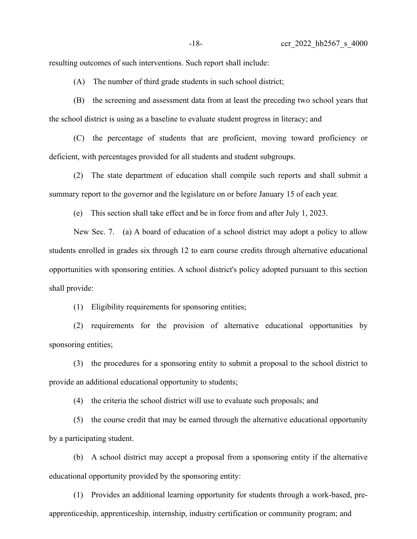resulting outcomes of such interventions. Such report shall include:

(A) The number of third grade students in such school district;

(B) the screening and assessment data from at least the preceding two school years that the school district is using as a baseline to evaluate student progress in literacy; and

(C) the percentage of students that are proficient, moving toward proficiency or deficient, with percentages provided for all students and student subgroups.

(2) The state department of education shall compile such reports and shall submit a summary report to the governor and the legislature on or before January 15 of each year.

(e) This section shall take effect and be in force from and after July 1, 2023.

New Sec. 7. (a) A board of education of a school district may adopt a policy to allow students enrolled in grades six through 12 to earn course credits through alternative educational opportunities with sponsoring entities. A school district's policy adopted pursuant to this section shall provide:

(1) Eligibility requirements for sponsoring entities;

(2) requirements for the provision of alternative educational opportunities by sponsoring entities;

(3) the procedures for a sponsoring entity to submit a proposal to the school district to provide an additional educational opportunity to students;

(4) the criteria the school district will use to evaluate such proposals; and

(5) the course credit that may be earned through the alternative educational opportunity by a participating student.

(b) A school district may accept a proposal from a sponsoring entity if the alternative educational opportunity provided by the sponsoring entity:

(1) Provides an additional learning opportunity for students through a work-based, preapprenticeship, apprenticeship, internship, industry certification or community program; and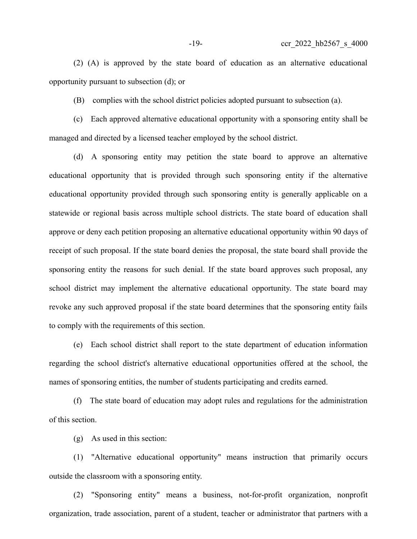(2) (A) is approved by the state board of education as an alternative educational opportunity pursuant to subsection (d); or

(B) complies with the school district policies adopted pursuant to subsection (a).

(c) Each approved alternative educational opportunity with a sponsoring entity shall be managed and directed by a licensed teacher employed by the school district.

(d) A sponsoring entity may petition the state board to approve an alternative educational opportunity that is provided through such sponsoring entity if the alternative educational opportunity provided through such sponsoring entity is generally applicable on a statewide or regional basis across multiple school districts. The state board of education shall approve or deny each petition proposing an alternative educational opportunity within 90 days of receipt of such proposal. If the state board denies the proposal, the state board shall provide the sponsoring entity the reasons for such denial. If the state board approves such proposal, any school district may implement the alternative educational opportunity. The state board may revoke any such approved proposal if the state board determines that the sponsoring entity fails to comply with the requirements of this section.

(e) Each school district shall report to the state department of education information regarding the school district's alternative educational opportunities offered at the school, the names of sponsoring entities, the number of students participating and credits earned.

(f) The state board of education may adopt rules and regulations for the administration of this section.

(g) As used in this section:

(1) "Alternative educational opportunity" means instruction that primarily occurs outside the classroom with a sponsoring entity.

(2) "Sponsoring entity" means a business, not-for-profit organization, nonprofit organization, trade association, parent of a student, teacher or administrator that partners with a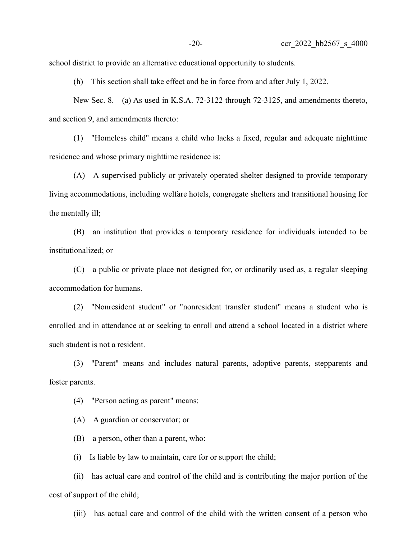school district to provide an alternative educational opportunity to students.

(h) This section shall take effect and be in force from and after July 1, 2022.

New Sec. 8. (a) As used in K.S.A. 72-3122 through 72-3125, and amendments thereto, and section 9, and amendments thereto:

(1) "Homeless child" means a child who lacks a fixed, regular and adequate nighttime residence and whose primary nighttime residence is:

(A) A supervised publicly or privately operated shelter designed to provide temporary living accommodations, including welfare hotels, congregate shelters and transitional housing for the mentally ill;

(B) an institution that provides a temporary residence for individuals intended to be institutionalized; or

(C) a public or private place not designed for, or ordinarily used as, a regular sleeping accommodation for humans.

(2) "Nonresident student" or "nonresident transfer student" means a student who is enrolled and in attendance at or seeking to enroll and attend a school located in a district where such student is not a resident.

(3) "Parent" means and includes natural parents, adoptive parents, stepparents and foster parents.

(4) "Person acting as parent" means:

(A) A guardian or conservator; or

(B) a person, other than a parent, who:

(i) Is liable by law to maintain, care for or support the child;

(ii) has actual care and control of the child and is contributing the major portion of the cost of support of the child;

(iii) has actual care and control of the child with the written consent of a person who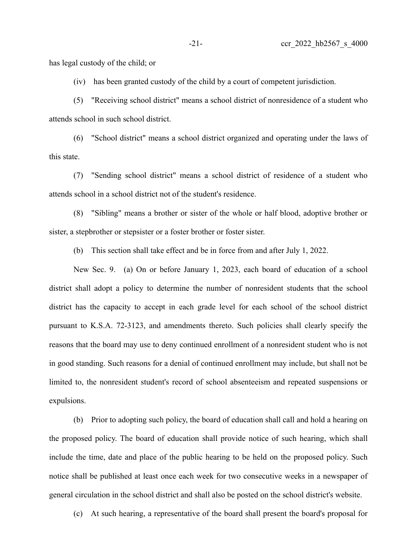has legal custody of the child; or

(iv) has been granted custody of the child by a court of competent jurisdiction.

(5) "Receiving school district" means a school district of nonresidence of a student who attends school in such school district.

(6) "School district" means a school district organized and operating under the laws of this state.

(7) "Sending school district" means a school district of residence of a student who attends school in a school district not of the student's residence.

(8) "Sibling" means a brother or sister of the whole or half blood, adoptive brother or sister, a stepbrother or stepsister or a foster brother or foster sister.

(b) This section shall take effect and be in force from and after July 1, 2022.

New Sec. 9. (a) On or before January 1, 2023, each board of education of a school district shall adopt a policy to determine the number of nonresident students that the school district has the capacity to accept in each grade level for each school of the school district pursuant to K.S.A. 72-3123, and amendments thereto. Such policies shall clearly specify the reasons that the board may use to deny continued enrollment of a nonresident student who is not in good standing. Such reasons for a denial of continued enrollment may include, but shall not be limited to, the nonresident student's record of school absenteeism and repeated suspensions or expulsions.

(b) Prior to adopting such policy, the board of education shall call and hold a hearing on the proposed policy. The board of education shall provide notice of such hearing, which shall include the time, date and place of the public hearing to be held on the proposed policy. Such notice shall be published at least once each week for two consecutive weeks in a newspaper of general circulation in the school district and shall also be posted on the school district's website.

(c) At such hearing, a representative of the board shall present the board's proposal for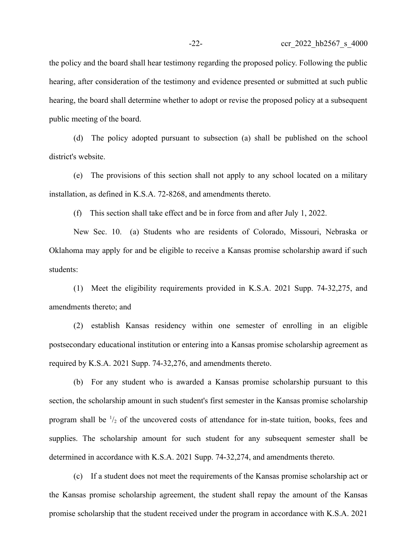the policy and the board shall hear testimony regarding the proposed policy. Following the public hearing, after consideration of the testimony and evidence presented or submitted at such public hearing, the board shall determine whether to adopt or revise the proposed policy at a subsequent public meeting of the board.

(d) The policy adopted pursuant to subsection (a) shall be published on the school district's website.

(e) The provisions of this section shall not apply to any school located on a military installation, as defined in K.S.A. 72-8268, and amendments thereto.

(f) This section shall take effect and be in force from and after July 1, 2022.

New Sec. 10. (a) Students who are residents of Colorado, Missouri, Nebraska or Oklahoma may apply for and be eligible to receive a Kansas promise scholarship award if such students:

(1) Meet the eligibility requirements provided in K.S.A. 2021 Supp. 74-32,275, and amendments thereto; and

(2) establish Kansas residency within one semester of enrolling in an eligible postsecondary educational institution or entering into a Kansas promise scholarship agreement as required by K.S.A. 2021 Supp. 74-32,276, and amendments thereto.

(b) For any student who is awarded a Kansas promise scholarship pursuant to this section, the scholarship amount in such student's first semester in the Kansas promise scholarship program shall be  $\frac{1}{2}$  of the uncovered costs of attendance for in-state tuition, books, fees and supplies. The scholarship amount for such student for any subsequent semester shall be determined in accordance with K.S.A. 2021 Supp. 74-32,274, and amendments thereto.

(c) If a student does not meet the requirements of the Kansas promise scholarship act or the Kansas promise scholarship agreement, the student shall repay the amount of the Kansas promise scholarship that the student received under the program in accordance with K.S.A. 2021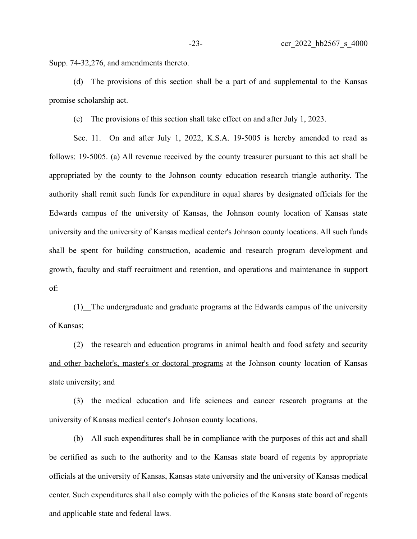Supp. 74-32,276, and amendments thereto.

(d) The provisions of this section shall be a part of and supplemental to the Kansas promise scholarship act.

(e) The provisions of this section shall take effect on and after July 1, 2023.

Sec. 11. On and after July 1, 2022, K.S.A. 19-5005 is hereby amended to read as follows: 19-5005. (a) All revenue received by the county treasurer pursuant to this act shall be appropriated by the county to the Johnson county education research triangle authority. The authority shall remit such funds for expenditure in equal shares by designated officials for the Edwards campus of the university of Kansas, the Johnson county location of Kansas state university and the university of Kansas medical center's Johnson county locations. All such funds shall be spent for building construction, academic and research program development and growth, faculty and staff recruitment and retention, and operations and maintenance in support of:

(1) The undergraduate and graduate programs at the Edwards campus of the university of Kansas;

(2) the research and education programs in animal health and food safety and security and other bachelor's, master's or doctoral programs at the Johnson county location of Kansas state university; and

(3) the medical education and life sciences and cancer research programs at the university of Kansas medical center's Johnson county locations.

(b) All such expenditures shall be in compliance with the purposes of this act and shall be certified as such to the authority and to the Kansas state board of regents by appropriate officials at the university of Kansas, Kansas state university and the university of Kansas medical center. Such expenditures shall also comply with the policies of the Kansas state board of regents and applicable state and federal laws.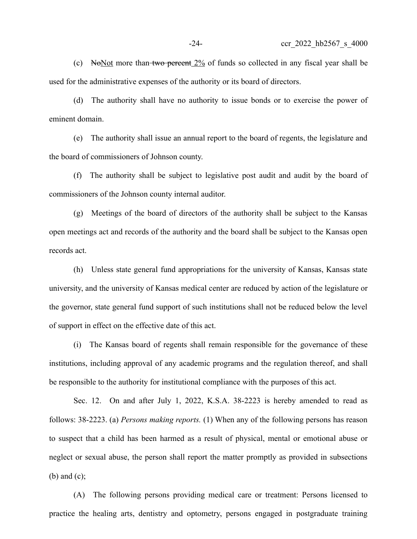(c) No Not more than two percent  $2\%$  of funds so collected in any fiscal year shall be used for the administrative expenses of the authority or its board of directors.

(d) The authority shall have no authority to issue bonds or to exercise the power of eminent domain.

(e) The authority shall issue an annual report to the board of regents, the legislature and the board of commissioners of Johnson county.

(f) The authority shall be subject to legislative post audit and audit by the board of commissioners of the Johnson county internal auditor.

(g) Meetings of the board of directors of the authority shall be subject to the Kansas open meetings act and records of the authority and the board shall be subject to the Kansas open records act.

(h) Unless state general fund appropriations for the university of Kansas, Kansas state university, and the university of Kansas medical center are reduced by action of the legislature or the governor, state general fund support of such institutions shall not be reduced below the level of support in effect on the effective date of this act.

(i) The Kansas board of regents shall remain responsible for the governance of these institutions, including approval of any academic programs and the regulation thereof, and shall be responsible to the authority for institutional compliance with the purposes of this act.

Sec. 12. On and after July 1, 2022, K.S.A. 38-2223 is hereby amended to read as follows: 38-2223. (a) *Persons making reports.* (1) When any of the following persons has reason to suspect that a child has been harmed as a result of physical, mental or emotional abuse or neglect or sexual abuse, the person shall report the matter promptly as provided in subsections (b) and (c);

(A) The following persons providing medical care or treatment: Persons licensed to practice the healing arts, dentistry and optometry, persons engaged in postgraduate training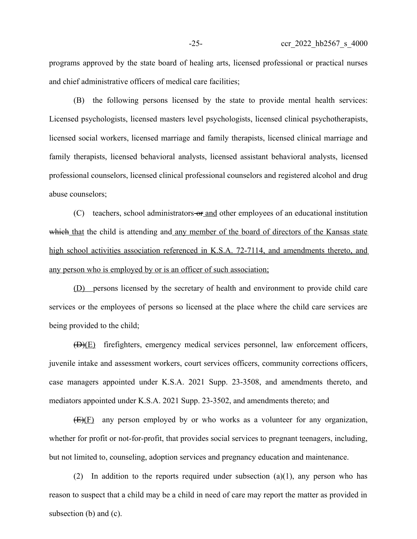programs approved by the state board of healing arts, licensed professional or practical nurses and chief administrative officers of medical care facilities;

(B) the following persons licensed by the state to provide mental health services: Licensed psychologists, licensed masters level psychologists, licensed clinical psychotherapists, licensed social workers, licensed marriage and family therapists, licensed clinical marriage and family therapists, licensed behavioral analysts, licensed assistant behavioral analysts, licensed professional counselors, licensed clinical professional counselors and registered alcohol and drug abuse counselors;

(C) teachers, school administrators or and other employees of an educational institution which that the child is attending and any member of the board of directors of the Kansas state high school activities association referenced in K.S.A. 72-7114, and amendments thereto, and any person who is employed by or is an officer of such association;

(D) persons licensed by the secretary of health and environment to provide child care services or the employees of persons so licensed at the place where the child care services are being provided to the child;

(D)(E) firefighters, emergency medical services personnel, law enforcement officers, juvenile intake and assessment workers, court services officers, community corrections officers, case managers appointed under K.S.A. 2021 Supp. 23-3508, and amendments thereto, and mediators appointed under K.S.A. 2021 Supp. 23-3502, and amendments thereto; and

(E)(F) any person employed by or who works as a volunteer for any organization, whether for profit or not-for-profit, that provides social services to pregnant teenagers, including, but not limited to, counseling, adoption services and pregnancy education and maintenance.

(2) In addition to the reports required under subsection (a)(1), any person who has reason to suspect that a child may be a child in need of care may report the matter as provided in subsection (b) and (c).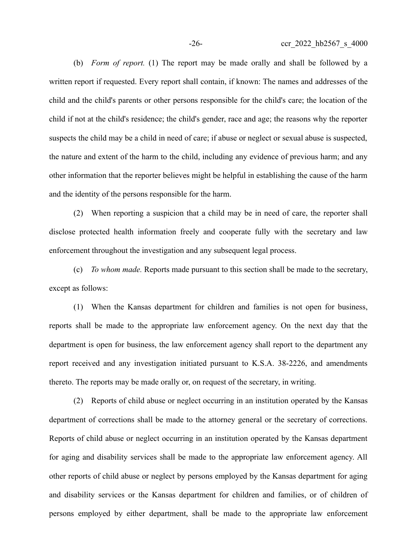(b) *Form of report.* (1) The report may be made orally and shall be followed by a written report if requested. Every report shall contain, if known: The names and addresses of the child and the child's parents or other persons responsible for the child's care; the location of the child if not at the child's residence; the child's gender, race and age; the reasons why the reporter suspects the child may be a child in need of care; if abuse or neglect or sexual abuse is suspected, the nature and extent of the harm to the child, including any evidence of previous harm; and any other information that the reporter believes might be helpful in establishing the cause of the harm and the identity of the persons responsible for the harm.

(2) When reporting a suspicion that a child may be in need of care, the reporter shall disclose protected health information freely and cooperate fully with the secretary and law enforcement throughout the investigation and any subsequent legal process.

(c) *To whom made.* Reports made pursuant to this section shall be made to the secretary, except as follows:

(1) When the Kansas department for children and families is not open for business, reports shall be made to the appropriate law enforcement agency. On the next day that the department is open for business, the law enforcement agency shall report to the department any report received and any investigation initiated pursuant to K.S.A. 38-2226, and amendments thereto. The reports may be made orally or, on request of the secretary, in writing.

(2) Reports of child abuse or neglect occurring in an institution operated by the Kansas department of corrections shall be made to the attorney general or the secretary of corrections. Reports of child abuse or neglect occurring in an institution operated by the Kansas department for aging and disability services shall be made to the appropriate law enforcement agency. All other reports of child abuse or neglect by persons employed by the Kansas department for aging and disability services or the Kansas department for children and families, or of children of persons employed by either department, shall be made to the appropriate law enforcement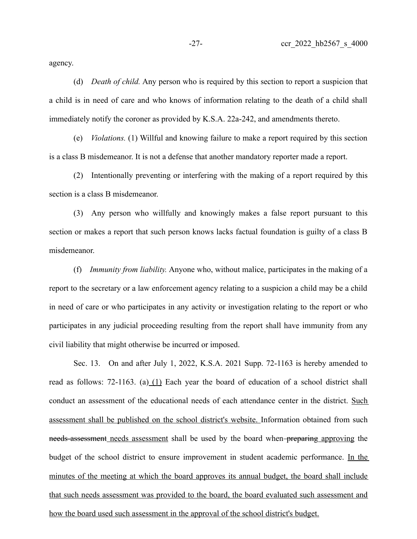agency.

(d) *Death of child.* Any person who is required by this section to report a suspicion that a child is in need of care and who knows of information relating to the death of a child shall immediately notify the coroner as provided by K.S.A. 22a-242, and amendments thereto.

(e) *Violations.* (1) Willful and knowing failure to make a report required by this section is a class B misdemeanor. It is not a defense that another mandatory reporter made a report.

(2) Intentionally preventing or interfering with the making of a report required by this section is a class B misdemeanor.

(3) Any person who willfully and knowingly makes a false report pursuant to this section or makes a report that such person knows lacks factual foundation is guilty of a class B misdemeanor.

(f) *Immunity from liability.* Anyone who, without malice, participates in the making of a report to the secretary or a law enforcement agency relating to a suspicion a child may be a child in need of care or who participates in any activity or investigation relating to the report or who participates in any judicial proceeding resulting from the report shall have immunity from any civil liability that might otherwise be incurred or imposed.

Sec. 13. On and after July 1, 2022, K.S.A. 2021 Supp. 72-1163 is hereby amended to read as follows: 72-1163. (a) (1) Each year the board of education of a school district shall conduct an assessment of the educational needs of each attendance center in the district. Such assessment shall be published on the school district's website. Information obtained from such needs-assessment needs assessment shall be used by the board when-preparing approving the budget of the school district to ensure improvement in student academic performance. In the minutes of the meeting at which the board approves its annual budget, the board shall include that such needs assessment was provided to the board, the board evaluated such assessment and how the board used such assessment in the approval of the school district's budget.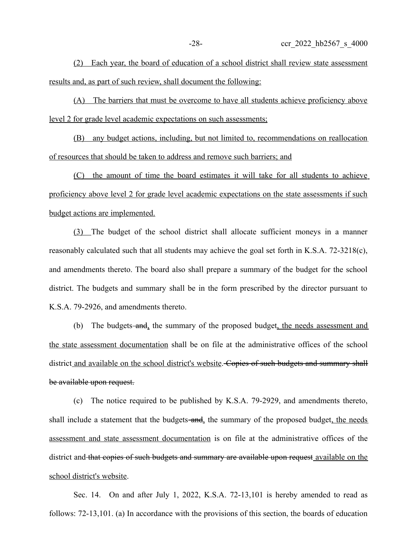(2) Each year, the board of education of a school district shall review state assessment results and, as part of such review, shall document the following:

(A) The barriers that must be overcome to have all students achieve proficiency above level 2 for grade level academic expectations on such assessments;

(B) any budget actions, including, but not limited to, recommendations on reallocation of resources that should be taken to address and remove such barriers; and

(C) the amount of time the board estimates it will take for all students to achieve proficiency above level 2 for grade level academic expectations on the state assessments if such budget actions are implemented.

(3) The budget of the school district shall allocate sufficient moneys in a manner reasonably calculated such that all students may achieve the goal set forth in K.S.A. 72-3218(c), and amendments thereto. The board also shall prepare a summary of the budget for the school district. The budgets and summary shall be in the form prescribed by the director pursuant to K.S.A. 79-2926, and amendments thereto.

(b) The budgets-and, the summary of the proposed budget, the needs assessment and the state assessment documentation shall be on file at the administrative offices of the school district and available on the school district's website. Copies of such budgets and summary shall be available upon request.

(c) The notice required to be published by K.S.A. 79-2929, and amendments thereto, shall include a statement that the budgets-and, the summary of the proposed budget, the needs assessment and state assessment documentation is on file at the administrative offices of the district and that copies of such budgets and summary are available upon request available on the school district's website.

Sec. 14. On and after July 1, 2022, K.S.A. 72-13,101 is hereby amended to read as follows: 72-13,101. (a) In accordance with the provisions of this section, the boards of education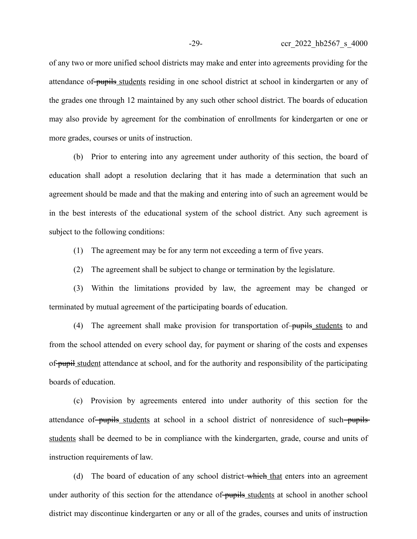of any two or more unified school districts may make and enter into agreements providing for the attendance of pupils students residing in one school district at school in kindergarten or any of the grades one through 12 maintained by any such other school district. The boards of education may also provide by agreement for the combination of enrollments for kindergarten or one or more grades, courses or units of instruction.

(b) Prior to entering into any agreement under authority of this section, the board of education shall adopt a resolution declaring that it has made a determination that such an agreement should be made and that the making and entering into of such an agreement would be in the best interests of the educational system of the school district. Any such agreement is subject to the following conditions:

(1) The agreement may be for any term not exceeding a term of five years.

(2) The agreement shall be subject to change or termination by the legislature.

(3) Within the limitations provided by law, the agreement may be changed or terminated by mutual agreement of the participating boards of education.

(4) The agreement shall make provision for transportation of pupils students to and from the school attended on every school day, for payment or sharing of the costs and expenses of pupil student attendance at school, and for the authority and responsibility of the participating boards of education.

(c) Provision by agreements entered into under authority of this section for the attendance of pupils students at school in a school district of nonresidence of such pupils students shall be deemed to be in compliance with the kindergarten, grade, course and units of instruction requirements of law.

(d) The board of education of any school district-which that enters into an agreement under authority of this section for the attendance of pupils students at school in another school district may discontinue kindergarten or any or all of the grades, courses and units of instruction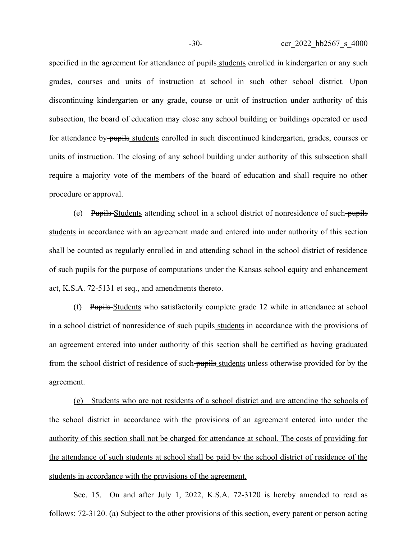specified in the agreement for attendance of pupils students enrolled in kindergarten or any such grades, courses and units of instruction at school in such other school district. Upon discontinuing kindergarten or any grade, course or unit of instruction under authority of this subsection, the board of education may close any school building or buildings operated or used for attendance by pupils students enrolled in such discontinued kindergarten, grades, courses or units of instruction. The closing of any school building under authority of this subsection shall require a majority vote of the members of the board of education and shall require no other procedure or approval.

(e) Pupils Students attending school in a school district of nonresidence of such pupils students in accordance with an agreement made and entered into under authority of this section shall be counted as regularly enrolled in and attending school in the school district of residence of such pupils for the purpose of computations under the Kansas school equity and enhancement act, K.S.A. 72-5131 et seq., and amendments thereto.

(f) Pupils Students who satisfactorily complete grade 12 while in attendance at school in a school district of nonresidence of such pupils students in accordance with the provisions of an agreement entered into under authority of this section shall be certified as having graduated from the school district of residence of such pupils students unless otherwise provided for by the agreement.

(g) Students who are not residents of a school district and are attending the schools of the school district in accordance with the provisions of an agreement entered into under the authority of this section shall not be charged for attendance at school. The costs of providing for the attendance of such students at school shall be paid by the school district of residence of the students in accordance with the provisions of the agreement.

Sec. 15. On and after July 1, 2022, K.S.A. 72-3120 is hereby amended to read as follows: 72-3120. (a) Subject to the other provisions of this section, every parent or person acting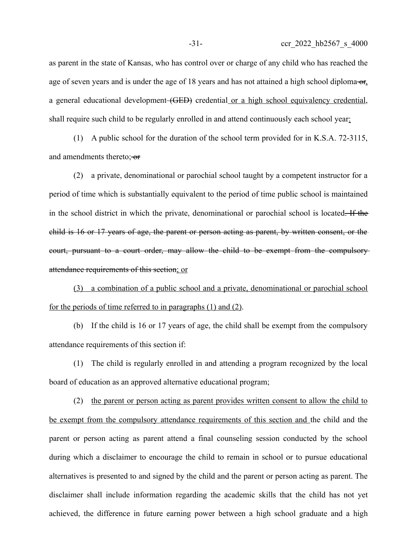as parent in the state of Kansas, who has control over or charge of any child who has reached the age of seven years and is under the age of 18 years and has not attained a high school diploma- $\sigma_{f}$ . a general educational development (GED) credential or a high school equivalency credential, shall require such child to be regularly enrolled in and attend continuously each school year:

(1) A public school for the duration of the school term provided for in K.S.A. 72-3115, and amendments thereto; or

(2) a private, denominational or parochial school taught by a competent instructor for a period of time which is substantially equivalent to the period of time public school is maintained in the school district in which the private, denominational or parochial school is located. If the child is 16 or 17 years of age, the parent or person acting as parent, by written consent, or the court, pursuant to a court order, may allow the child to be exempt from the compulsory attendance requirements of this section; or

(3) a combination of a public school and a private, denominational or parochial school for the periods of time referred to in paragraphs (1) and (2).

(b) If the child is 16 or 17 years of age, the child shall be exempt from the compulsory attendance requirements of this section if:

(1) The child is regularly enrolled in and attending a program recognized by the local board of education as an approved alternative educational program;

(2) the parent or person acting as parent provides written consent to allow the child to be exempt from the compulsory attendance requirements of this section and the child and the parent or person acting as parent attend a final counseling session conducted by the school during which a disclaimer to encourage the child to remain in school or to pursue educational alternatives is presented to and signed by the child and the parent or person acting as parent. The disclaimer shall include information regarding the academic skills that the child has not yet achieved, the difference in future earning power between a high school graduate and a high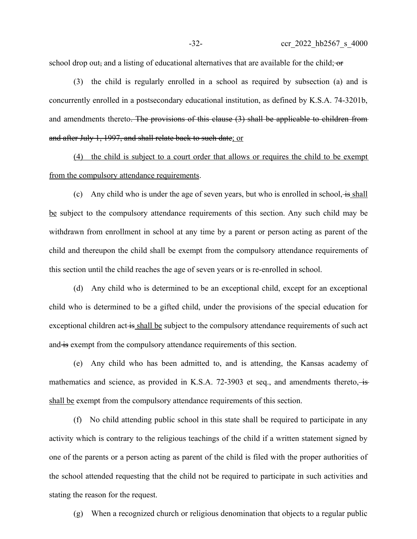school drop out, and a listing of educational alternatives that are available for the child; or

(3) the child is regularly enrolled in a school as required by subsection (a) and is concurrently enrolled in a postsecondary educational institution, as defined by K.S.A. 74-3201b, and amendments thereto. The provisions of this clause (3) shall be applicable to children from and after July 1, 1997, and shall relate back to such date; or

(4) the child is subject to a court order that allows or requires the child to be exempt from the compulsory attendance requirements.

(c) Any child who is under the age of seven years, but who is enrolled in school,  $\frac{1}{15}$  shall be subject to the compulsory attendance requirements of this section. Any such child may be withdrawn from enrollment in school at any time by a parent or person acting as parent of the child and thereupon the child shall be exempt from the compulsory attendance requirements of this section until the child reaches the age of seven years or is re-enrolled in school.

(d) Any child who is determined to be an exceptional child, except for an exceptional child who is determined to be a gifted child, under the provisions of the special education for exceptional children act is shall be subject to the compulsory attendance requirements of such act and is exempt from the compulsory attendance requirements of this section.

(e) Any child who has been admitted to, and is attending, the Kansas academy of mathematics and science, as provided in K.S.A. 72-3903 et seq., and amendments thereto, is shall be exempt from the compulsory attendance requirements of this section.

(f) No child attending public school in this state shall be required to participate in any activity which is contrary to the religious teachings of the child if a written statement signed by one of the parents or a person acting as parent of the child is filed with the proper authorities of the school attended requesting that the child not be required to participate in such activities and stating the reason for the request.

(g) When a recognized church or religious denomination that objects to a regular public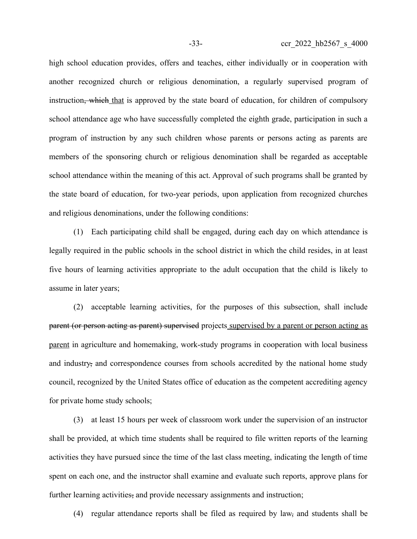high school education provides, offers and teaches, either individually or in cooperation with another recognized church or religious denomination, a regularly supervised program of instruction<del>, which</del> that is approved by the state board of education, for children of compulsory school attendance age who have successfully completed the eighth grade, participation in such a program of instruction by any such children whose parents or persons acting as parents are members of the sponsoring church or religious denomination shall be regarded as acceptable school attendance within the meaning of this act. Approval of such programs shall be granted by the state board of education, for two-year periods, upon application from recognized churches and religious denominations, under the following conditions:

(1) Each participating child shall be engaged, during each day on which attendance is legally required in the public schools in the school district in which the child resides, in at least five hours of learning activities appropriate to the adult occupation that the child is likely to assume in later years;

(2) acceptable learning activities, for the purposes of this subsection, shall include parent (or person acting as parent) supervised projects supervised by a parent or person acting as parent in agriculture and homemaking, work-study programs in cooperation with local business and industry, and correspondence courses from schools accredited by the national home study council, recognized by the United States office of education as the competent accrediting agency for private home study schools;

(3) at least 15 hours per week of classroom work under the supervision of an instructor shall be provided, at which time students shall be required to file written reports of the learning activities they have pursued since the time of the last class meeting, indicating the length of time spent on each one, and the instructor shall examine and evaluate such reports, approve plans for further learning activities, and provide necessary assignments and instruction;

(4) regular attendance reports shall be filed as required by law, and students shall be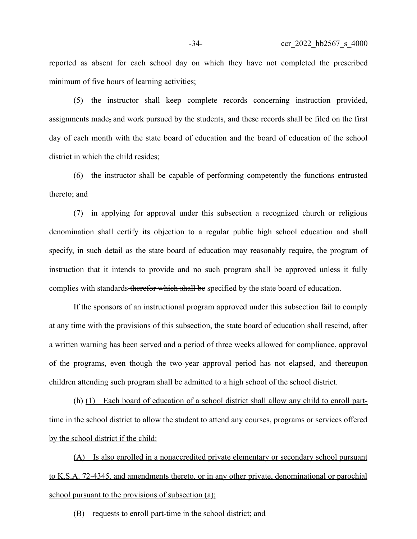reported as absent for each school day on which they have not completed the prescribed minimum of five hours of learning activities;

(5) the instructor shall keep complete records concerning instruction provided, assignments made, and work pursued by the students, and these records shall be filed on the first day of each month with the state board of education and the board of education of the school district in which the child resides;

(6) the instructor shall be capable of performing competently the functions entrusted thereto; and

(7) in applying for approval under this subsection a recognized church or religious denomination shall certify its objection to a regular public high school education and shall specify, in such detail as the state board of education may reasonably require, the program of instruction that it intends to provide and no such program shall be approved unless it fully complies with standards therefor which shall be specified by the state board of education.

If the sponsors of an instructional program approved under this subsection fail to comply at any time with the provisions of this subsection, the state board of education shall rescind, after a written warning has been served and a period of three weeks allowed for compliance, approval of the programs, even though the two-year approval period has not elapsed, and thereupon children attending such program shall be admitted to a high school of the school district.

(h) (1) Each board of education of a school district shall allow any child to enroll parttime in the school district to allow the student to attend any courses, programs or services offered by the school district if the child:

(A) Is also enrolled in a nonaccredited private elementary or secondary school pursuant to K.S.A. 72-4345, and amendments thereto, or in any other private, denominational or parochial school pursuant to the provisions of subsection (a);

(B) requests to enroll part-time in the school district; and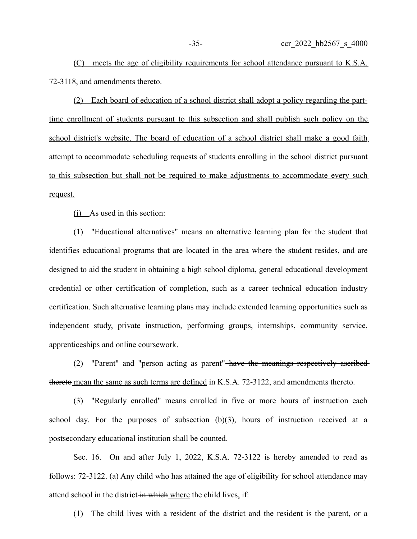(C) meets the age of eligibility requirements for school attendance pursuant to K.S.A. 72-3118, and amendments thereto.

(2) Each board of education of a school district shall adopt a policy regarding the parttime enrollment of students pursuant to this subsection and shall publish such policy on the school district's website. The board of education of a school district shall make a good faith attempt to accommodate scheduling requests of students enrolling in the school district pursuant to this subsection but shall not be required to make adjustments to accommodate every such request.

(i) As used in this section:

(1) "Educational alternatives" means an alternative learning plan for the student that identifies educational programs that are located in the area where the student resides, and are designed to aid the student in obtaining a high school diploma, general educational development credential or other certification of completion, such as a career technical education industry certification. Such alternative learning plans may include extended learning opportunities such as independent study, private instruction, performing groups, internships, community service, apprenticeships and online coursework.

(2) "Parent" and "person acting as parent" have the meanings respectively ascribed thereto mean the same as such terms are defined in K.S.A. 72-3122, and amendments thereto.

(3) "Regularly enrolled" means enrolled in five or more hours of instruction each school day. For the purposes of subsection (b)(3), hours of instruction received at a postsecondary educational institution shall be counted.

Sec. 16. On and after July 1, 2022, K.S.A. 72-3122 is hereby amended to read as follows: 72-3122. (a) Any child who has attained the age of eligibility for school attendance may attend school in the district in which where the child lives, if:

(1) The child lives with a resident of the district and the resident is the parent, or a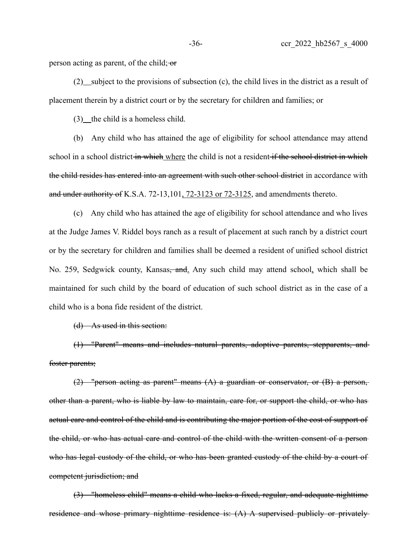person acting as parent, of the child; or

 $(2)$  subject to the provisions of subsection  $(c)$ , the child lives in the district as a result of placement therein by a district court or by the secretary for children and families; or

 $(3)$  the child is a homeless child.

(b) Any child who has attained the age of eligibility for school attendance may attend school in a school district in which where the child is not a resident if the school district in which the child resides has entered into an agreement with such other school district in accordance with and under authority of K.S.A. 72-13,101, 72-3123 or 72-3125, and amendments thereto.

(c) Any child who has attained the age of eligibility for school attendance and who lives at the Judge James V. Riddel boys ranch as a result of placement at such ranch by a district court or by the secretary for children and families shall be deemed a resident of unified school district No. 259, Sedgwick county, Kansas<del>, and</del>. Any such child may attend school, which shall be maintained for such child by the board of education of such school district as in the case of a child who is a bona fide resident of the district.

(d) As used in this section:

(1) "Parent" means and includes natural parents, adoptive parents, stepparents, and foster parents;

(2) "person acting as parent" means (A) a guardian or conservator, or (B) a person, other than a parent, who is liable by law to maintain, care for, or support the child, or who has actual care and control of the child and is contributing the major portion of the cost of support of the child, or who has actual care and control of the child with the written consent of a person who has legal custody of the child, or who has been granted custody of the child by a court of competent jurisdiction; and

(3) "homeless child" means a child who lacks a fixed, regular, and adequate nighttime residence and whose primary nighttime residence is: (A) A supervised publicly or privately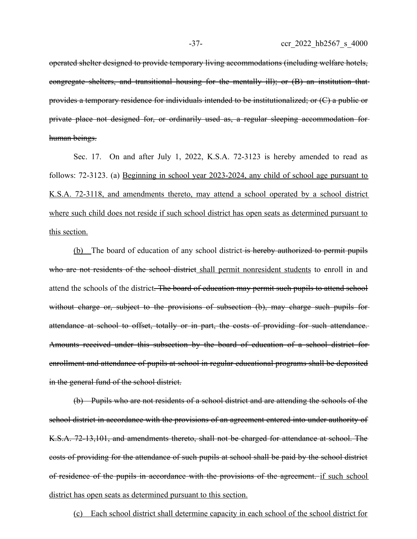operated shelter designed to provide temporary living accommodations (including welfare hotels, congregate shelters, and transitional housing for the mentally ill); or (B) an institution that provides a temporary residence for individuals intended to be institutionalized; or (C) a public or private place not designed for, or ordinarily used as, a regular sleeping accommodation for human beings.

Sec. 17. On and after July 1, 2022, K.S.A. 72-3123 is hereby amended to read as follows: 72-3123. (a) Beginning in school year 2023-2024, any child of school age pursuant to K.S.A. 72-3118, and amendments thereto, may attend a school operated by a school district where such child does not reside if such school district has open seats as determined pursuant to this section.

(b) The board of education of any school district is hereby authorized to permit pupils who are not residents of the school district shall permit nonresident students to enroll in and attend the schools of the district. The board of education may permit such pupils to attend school without charge or, subject to the provisions of subsection (b), may charge such pupils for attendance at school to offset, totally or in part, the costs of providing for such attendance. Amounts received under this subsection by the board of education of a school district for enrollment and attendance of pupils at school in regular educational programs shall be deposited in the general fund of the school district.

(b) Pupils who are not residents of a school district and are attending the schools of the school district in accordance with the provisions of an agreement entered into under authority of K.S.A. 72-13,101, and amendments thereto, shall not be charged for attendance at school. The costs of providing for the attendance of such pupils at school shall be paid by the school district of residence of the pupils in accordance with the provisions of the agreement. if such school district has open seats as determined pursuant to this section.

(c) Each school district shall determine capacity in each school of the school district for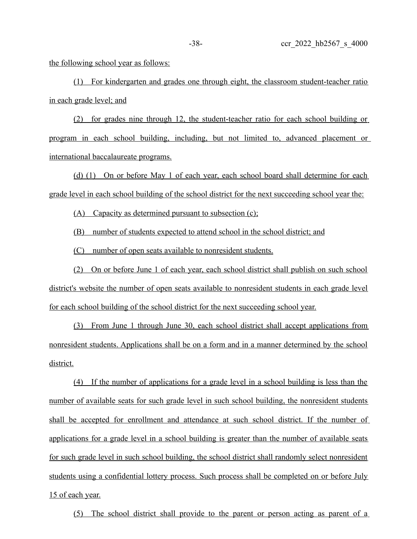the following school year as follows:

(1) For kindergarten and grades one through eight, the classroom student-teacher ratio in each grade level; and

(2) for grades nine through 12, the student-teacher ratio for each school building or program in each school building, including, but not limited to, advanced placement or international baccalaureate programs.

(d) (1) On or before May 1 of each year, each school board shall determine for each grade level in each school building of the school district for the next succeeding school year the:

 $(A)$  Capacity as determined pursuant to subsection  $(c)$ ;

(B) number of students expected to attend school in the school district; and

(C) number of open seats available to nonresident students.

(2) On or before June 1 of each year, each school district shall publish on such school district's website the number of open seats available to nonresident students in each grade level for each school building of the school district for the next succeeding school year.

(3) From June 1 through June 30, each school district shall accept applications from nonresident students. Applications shall be on a form and in a manner determined by the school district.

 ( 4 ) If the number of applications for a grade level in a school building is less than the number of available seats for such grade level in such school building, the nonresident students shall be accepted for enrollment and attendance at such school district. If the number of applications for a grade level in a school building is greater than the number of available seats for such grade level in such school building, the school district shall randomly select nonresident students using a confidential lottery process. Such process shall be completed on or before July 15 of each year.

(5) The school district shall provide to the parent or person acting as parent of a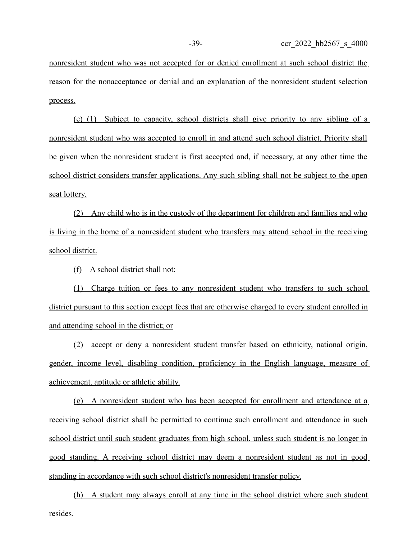nonresident student who was not accepted for or denied enrollment at such school district the reason for the nonacceptance or denial and an explanation of the nonresident student selection process.

(e) (1) Subject to capacity, school districts shall give priority to any sibling of a nonresident student who was accepted to enroll in and attend such school district. Priority shall be given when the nonresident student is first accepted and, if necessary, at any other time the school district considers transfer applications. Any such sibling shall not be subject to the open seat lottery.

(2) Any child who is in the custody of the department for children and families and who is living in the home of a nonresident student who transfers may attend school in the receiving school district.

(f) A school district shall not:

(1) Charge tuition or fees to any nonresident student who transfers to such school district pursuant to this section except fees that are otherwise charged to every student enrolled in and attending school in the district; or

(2) accept or deny a nonresident student transfer based on ethnicity, national origin, gender, income level, disabling condition, proficiency in the English language, measure of achievement, aptitude or athletic ability.

(g) A nonresident student who has been accepted for enrollment and attendance at a receiving school district shall be permitted to continue such enrollment and attendance in such school district until such student graduates from high school, unless such student is no longer in good standing. A receiving school district may deem a nonresident student as not in good standing in accordance with such school district's nonresident transfer policy.

(h) A student may always enroll at any time in the school district where such student resides.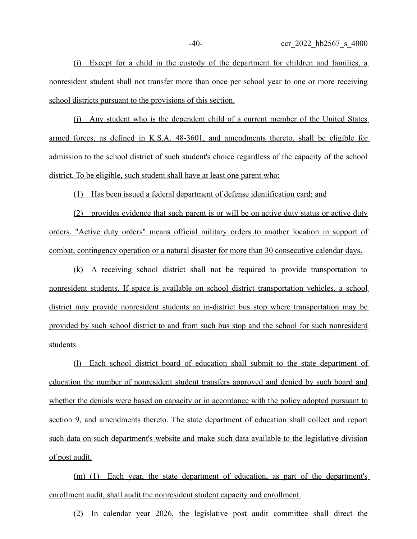(i) Except for a child in the custody of the department for children and families, a nonresident student shall not transfer more than once per school year to one or more receiving school districts pursuant to the provisions of this section.

(j) Any student who is the dependent child of a current member of the United States armed forces, as defined in K.S.A. 48-3601, and amendments thereto, shall be eligible for admission to the school district of such student's choice regardless of the capacity of the school district. To be eligible, such student shall have at least one parent who:

(1) Has been issued a federal department of defense identification card; and

(2) provides evidence that such parent is or will be on active duty status or active duty orders. "Active duty orders" means official military orders to another location in support of combat, contingency operation or a natural disaster for more than 30 consecutive calendar days.

(k) A receiving school district shall not be required to provide transportation to nonresident students. If space is available on school district transportation vehicles, a school district may provide nonresident students an in-district bus stop where transportation may be provided by such school district to and from such bus stop and the school for such nonresident students.

(l) Each school district board of education shall submit to the state department of education the number of nonresident student transfers approved and denied by such board and whether the denials were based on capacity or in accordance with the policy adopted pursuant to section 9, and amendments thereto. The state department of education shall collect and report such data on such department's website and make such data available to the legislative division of post audit.

 $(m)$  (1) Each year, the state department of education, as part of the department's enrollment audit, shall audit the nonresident student capacity and enrollment.

(2) In calendar year 2026, the legislative post audit committee shall direct the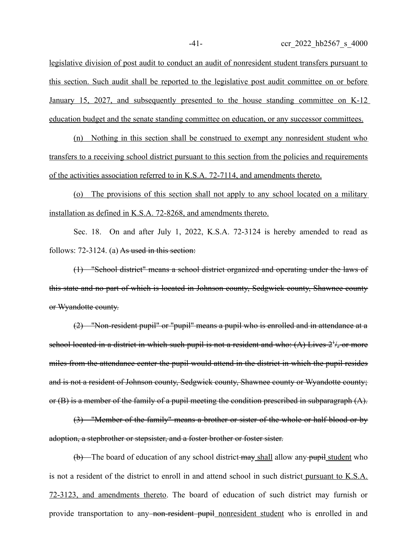legislative division of post audit to conduct an audit of nonresident student transfers pursuant to this section. Such audit shall be reported to the legislative post audit committee on or before January 15, 2027, and subsequently presented to the house standing committee on K-12 education budget and the senate standing committee on education, or any successor committees.

 $(n)$  Nothing in this section shall be construed to exempt any nonresident student who transfers to a receiving school district pursuant to this section from the policies and requirements of the activities association referred to in K.S.A. 72-7114, and amendments thereto.

(o) The provisions of this section shall not apply to any school located on a military installation as defined in K.S.A. 72-8268, and amendments thereto.

Sec. 18. On and after July 1, 2022, K.S.A. 72-3124 is hereby amended to read as follows: 72-3124. (a) As used in this section:

(1) "School district" means a school district organized and operating under the laws of this state and no part of which is located in Johnson county, Sedgwick county, Shawnee county or Wyandotte county.

(2) "Non-resident pupil" or "pupil" means a pupil who is enrolled and in attendance at a school located in a district in which such pupil is not a resident and who:  $(A)$  Lives  $2^{t}/_{2}$  or more miles from the attendance center the pupil would attend in the district in which the pupil resides and is not a resident of Johnson county, Sedgwick county, Shawnee county or Wyandotte county; or (B) is a member of the family of a pupil meeting the condition prescribed in subparagraph (A).

(3) "Member of the family" means a brother or sister of the whole or half blood or by adoption, a stepbrother or stepsister, and a foster brother or foster sister.

(b) The board of education of any school district may shall allow any pupil student who is not a resident of the district to enroll in and attend school in such district pursuant to K.S.A. 72-3123, and amendments thereto. The board of education of such district may furnish or provide transportation to any<del>-non-resident pupil</del> nonresident student who is enrolled in and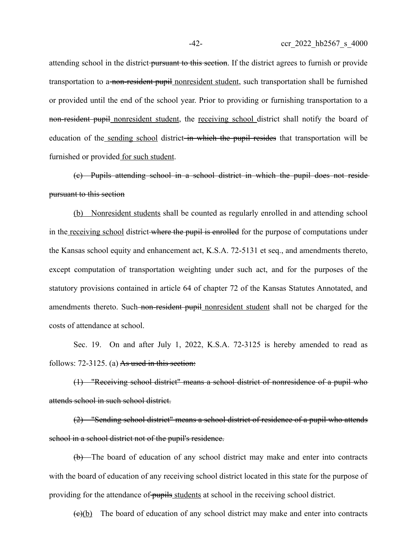attending school in the district pursuant to this section. If the district agrees to furnish or provide transportation to a non-resident pupil nonresident student, such transportation shall be furnished or provided until the end of the school year. Prior to providing or furnishing transportation to a non-resident pupil nonresident student, the receiving school district shall notify the board of education of the sending school district in which the pupil resides that transportation will be furnished or provided for such student.

(c) Pupils attending school in a school district in which the pupil does not reside pursuant to this section

(b) Nonresident students shall be counted as regularly enrolled in and attending school in the receiving school district where the pupil is enrolled for the purpose of computations under the Kansas school equity and enhancement act, K.S.A. 72-5131 et seq., and amendments thereto, except computation of transportation weighting under such act, and for the purposes of the statutory provisions contained in article 64 of chapter 72 of the Kansas Statutes Annotated, and amendments thereto. Such non-resident pupil nonresident student shall not be charged for the costs of attendance at school.

Sec. 19. On and after July 1, 2022, K.S.A. 72-3125 is hereby amended to read as follows:  $72-3125$ . (a) As used in this section:

(1) "Receiving school district" means a school district of nonresidence of a pupil who attends school in such school district.

(2) "Sending school district" means a school district of residence of a pupil who attends school in a school district not of the pupil's residence.

(b) The board of education of any school district may make and enter into contracts with the board of education of any receiving school district located in this state for the purpose of providing for the attendance of pupils students at school in the receiving school district.

 $(e)(b)$  The board of education of any school district may make and enter into contracts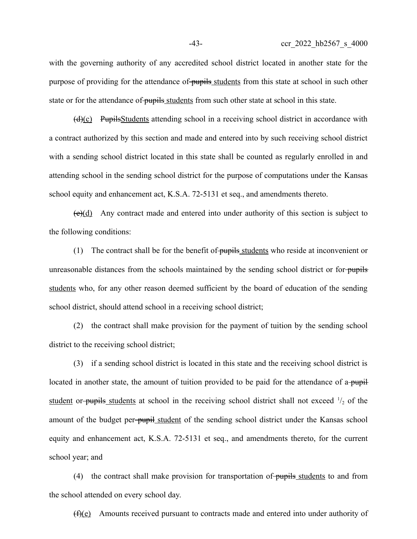with the governing authority of any accredited school district located in another state for the purpose of providing for the attendance of pupils students from this state at school in such other state or for the attendance of pupils students from such other state at school in this state.

 $(d)(c)$  Pupils Students attending school in a receiving school district in accordance with a contract authorized by this section and made and entered into by such receiving school district with a sending school district located in this state shall be counted as regularly enrolled in and attending school in the sending school district for the purpose of computations under the Kansas school equity and enhancement act, K.S.A. 72-5131 et seq., and amendments thereto.

 $(e)(d)$  Any contract made and entered into under authority of this section is subject to the following conditions:

(1) The contract shall be for the benefit of pupils students who reside at inconvenient or unreasonable distances from the schools maintained by the sending school district or forstudents who, for any other reason deemed sufficient by the board of education of the sending school district, should attend school in a receiving school district;

(2) the contract shall make provision for the payment of tuition by the sending school district to the receiving school district;

(3) if a sending school district is located in this state and the receiving school district is located in another state, the amount of tuition provided to be paid for the attendance of a-pupil student or-pupils students at school in the receiving school district shall not exceed  $\frac{1}{2}$  of the amount of the budget per-pupil student of the sending school district under the Kansas school equity and enhancement act, K.S.A. 72-5131 et seq., and amendments thereto, for the current school year; and

(4) the contract shall make provision for transportation of pupils students to and from the school attended on every school day.

 $(f)(e)$  Amounts received pursuant to contracts made and entered into under authority of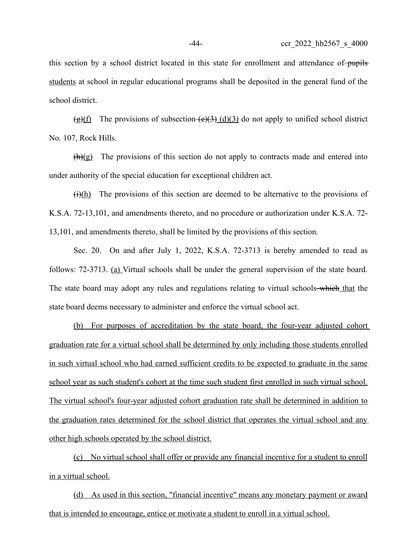this section by a school district located in this state for enrollment and attendance of pupils students at school in regular educational programs shall be deposited in the general fund of the school district.

 $(g)(f)$  The provisions of subsection  $(e)(3)(d)(3)$  do not apply to unified school district No. 107, Rock Hills.

 $(h)(g)$  The provisions of this section do not apply to contracts made and entered into under authority of the special education for exceptional children act.

 $\frac{f(x+h)}{h}$  The provisions of this section are deemed to be alternative to the provisions of K.S.A. 72-13,101, and amendments thereto, and no procedure or authorization under K.S.A. 72- 13,101, and amendments thereto, shall be limited by the provisions of this section.

Sec. 20. On and after July 1, 2022, K.S.A. 72-3713 is hereby amended to read as follows: 72-3713. (a) Virtual schools shall be under the general supervision of the state board. The state board may adopt any rules and regulations relating to virtual schools—which that the state board deems necessary to administer and enforce the virtual school act.

(b) For purposes of accreditation by the state board, the four-year adjusted cohort graduation rate for a virtual school shall be determined by only including those students enrolled in such virtual school who had earned sufficient credits to be expected to graduate in the same school year as such student's cohort at the time such student first enrolled in such virtual school. The virtual school's four-year adjusted cohort graduation rate shall be determined in addition to the graduation rates determined for the school district that operates the virtual school and any other high schools operated by the school district.

(c) No virtual school shall offer or provide any financial incentive for a student to enroll in a virtual school.

(d) As used in this section, "financial incentive" means any monetary payment or award that is intended to encourage, entice or motivate a student to enroll in a virtual school.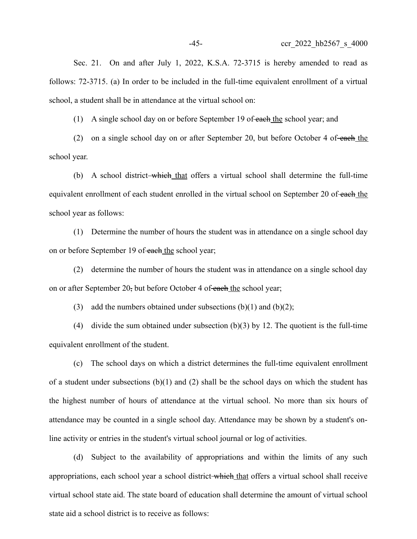Sec. 21. On and after July 1, 2022, K.S.A. 72-3715 is hereby amended to read as follows: 72-3715. (a) In order to be included in the full-time equivalent enrollment of a virtual school, a student shall be in attendance at the virtual school on:

(1) A single school day on or before September 19 of each the school year; and

(2) on a single school day on or after September 20, but before October 4 of each the school year.

(b) A school district-which that offers a virtual school shall determine the full-time equivalent enrollment of each student enrolled in the virtual school on September 20 of each the school year as follows:

(1) Determine the number of hours the student was in attendance on a single school day on or before September 19 of each the school year;

(2) determine the number of hours the student was in attendance on a single school day on or after September 20, but before October 4 of each the school year;

(3) add the numbers obtained under subsections  $(b)(1)$  and  $(b)(2)$ ;

(4) divide the sum obtained under subsection (b)(3) by 12. The quotient is the full-time equivalent enrollment of the student.

(c) The school days on which a district determines the full-time equivalent enrollment of a student under subsections  $(b)(1)$  and  $(2)$  shall be the school days on which the student has the highest number of hours of attendance at the virtual school. No more than six hours of attendance may be counted in a single school day. Attendance may be shown by a student's online activity or entries in the student's virtual school journal or log of activities.

(d) Subject to the availability of appropriations and within the limits of any such appropriations, each school year a school district-which that offers a virtual school shall receive virtual school state aid. The state board of education shall determine the amount of virtual school state aid a school district is to receive as follows: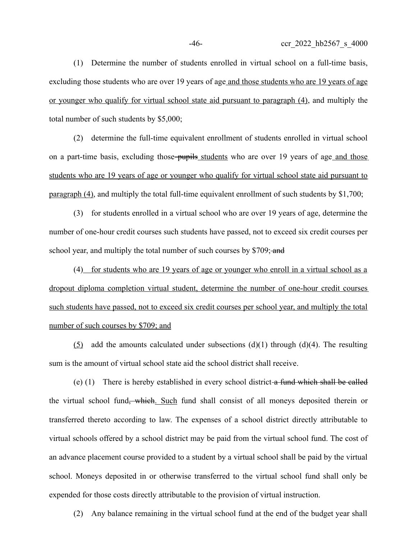(1) Determine the number of students enrolled in virtual school on a full-time basis, excluding those students who are over 19 years of age and those students who are 19 years of age or younger who qualify for virtual school state aid pursuant to paragraph (4), and multiply the total number of such students by \$5,000;

(2) determine the full-time equivalent enrollment of students enrolled in virtual school on a part-time basis, excluding those-pupils students who are over 19 years of age and those students who are 19 years of age or younger who qualify for virtual school state aid pursuant to paragraph (4), and multiply the total full-time equivalent enrollment of such students by \$1,700;

(3) for students enrolled in a virtual school who are over 19 years of age, determine the number of one-hour credit courses such students have passed, not to exceed six credit courses per school year, and multiply the total number of such courses by \$709; and

(4) for students who are 19 years of age or younger who enroll in a virtual school as a dropout diploma completion virtual student, determine the number of one-hour credit courses such students have passed, not to exceed six credit courses per school year, and multiply the total number of such courses by \$709; and

(5) add the amounts calculated under subsections  $(d)(1)$  through  $(d)(4)$ . The resulting sum is the amount of virtual school state aid the school district shall receive.

(e) (1) There is hereby established in every school district a fund which shall be called the virtual school fund, which. Such fund shall consist of all moneys deposited therein or transferred thereto according to law. The expenses of a school district directly attributable to virtual schools offered by a school district may be paid from the virtual school fund. The cost of an advance placement course provided to a student by a virtual school shall be paid by the virtual school. Moneys deposited in or otherwise transferred to the virtual school fund shall only be expended for those costs directly attributable to the provision of virtual instruction.

(2) Any balance remaining in the virtual school fund at the end of the budget year shall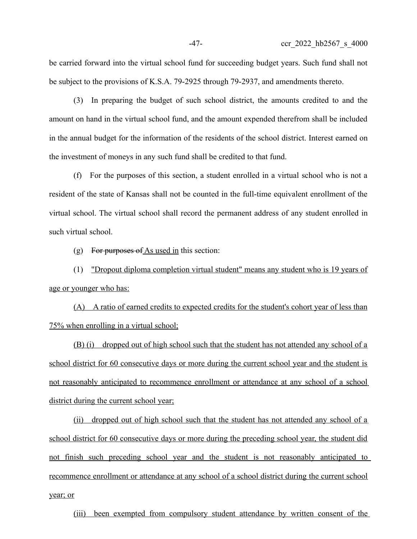be carried forward into the virtual school fund for succeeding budget years. Such fund shall not be subject to the provisions of K.S.A. 79-2925 through 79-2937, and amendments thereto.

(3) In preparing the budget of such school district, the amounts credited to and the amount on hand in the virtual school fund, and the amount expended therefrom shall be included in the annual budget for the information of the residents of the school district. Interest earned on the investment of moneys in any such fund shall be credited to that fund.

(f) For the purposes of this section, a student enrolled in a virtual school who is not a resident of the state of Kansas shall not be counted in the full-time equivalent enrollment of the virtual school. The virtual school shall record the permanent address of any student enrolled in such virtual school.

(g) For purposes of As used in this section:

(1) "Dropout diploma completion virtual student" means any student who is 19 years of age or younger who has:

(A) A ratio of earned credits to expected credits for the student's cohort year of less than 75% when enrolling in a virtual school;

(B) (i) dropped out of high school such that the student has not attended any school of a school district for 60 consecutive days or more during the current school year and the student is not reasonably anticipated to recommence enrollment or attendance at any school of a school district during the current school year;

(ii) dropped out of high school such that the student has not attended any school of a school district for 60 consecutive days or more during the preceding school year, the student did not finish such preceding school year and the student is not reasonably anticipated to recommence enrollment or attendance at any school of a school district during the current school year; or

(iii) been exempted from compulsory student attendance by written consent of the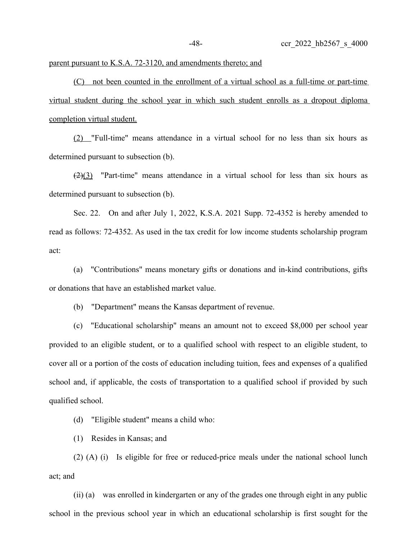## parent pursuant to K.S.A. 72-3120, and amendments thereto; and

(C) not been counted in the enrollment of a virtual school as a full-time or part-time virtual student during the school year in which such student enrolls as a dropout diploma completion virtual student.

(2) "Full-time" means attendance in a virtual school for no less than six hours as determined pursuant to subsection (b).

 $(2)(3)$  "Part-time" means attendance in a virtual school for less than six hours as determined pursuant to subsection (b).

Sec. 22. On and after July 1, 2022, K.S.A. 2021 Supp. 72-4352 is hereby amended to read as follows: 72-4352. As used in the tax credit for low income students scholarship program act:

(a) "Contributions" means monetary gifts or donations and in-kind contributions, gifts or donations that have an established market value.

(b) "Department" means the Kansas department of revenue.

(c) "Educational scholarship" means an amount not to exceed \$8,000 per school year provided to an eligible student, or to a qualified school with respect to an eligible student, to cover all or a portion of the costs of education including tuition, fees and expenses of a qualified school and, if applicable, the costs of transportation to a qualified school if provided by such qualified school.

(d) "Eligible student" means a child who:

(1) Resides in Kansas; and

(2) (A) (i) Is eligible for free or reduced-price meals under the national school lunch act; and

(ii) (a) was enrolled in kindergarten or any of the grades one through eight in any public school in the previous school year in which an educational scholarship is first sought for the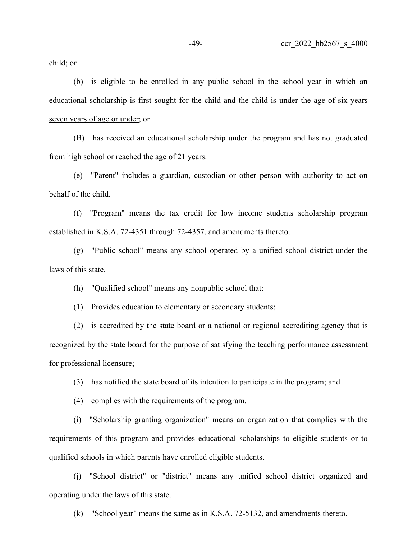child; or

(b) is eligible to be enrolled in any public school in the school year in which an educational scholarship is first sought for the child and the child is under the age of six years seven years of age or under; or

(B) has received an educational scholarship under the program and has not graduated from high school or reached the age of 21 years.

(e) "Parent" includes a guardian, custodian or other person with authority to act on behalf of the child.

(f) "Program" means the tax credit for low income students scholarship program established in K.S.A. 72-4351 through 72-4357, and amendments thereto.

(g) "Public school" means any school operated by a unified school district under the laws of this state.

(h) "Qualified school" means any nonpublic school that:

(1) Provides education to elementary or secondary students;

(2) is accredited by the state board or a national or regional accrediting agency that is recognized by the state board for the purpose of satisfying the teaching performance assessment for professional licensure;

(3) has notified the state board of its intention to participate in the program; and

(4) complies with the requirements of the program.

(i) "Scholarship granting organization" means an organization that complies with the requirements of this program and provides educational scholarships to eligible students or to qualified schools in which parents have enrolled eligible students.

(j) "School district" or "district" means any unified school district organized and operating under the laws of this state.

(k) "School year" means the same as in K.S.A. 72-5132, and amendments thereto.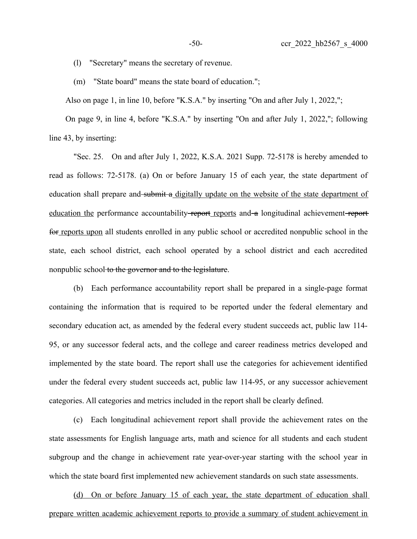(l) "Secretary" means the secretary of revenue.

(m) "State board" means the state board of education.";

Also on page 1, in line 10, before "K.S.A." by inserting "On and after July 1, 2022,";

On page 9, in line 4, before "K.S.A." by inserting "On and after July 1, 2022,"; following line 43, by inserting:

"Sec. 25. On and after July 1, 2022, K.S.A. 2021 Supp. 72-5178 is hereby amended to read as follows: 72-5178. (a) On or before January 15 of each year, the state department of education shall prepare and submit a digitally update on the website of the state department of education the performance accountability report reports and a longitudinal achievement reportfor reports upon all students enrolled in any public school or accredited nonpublic school in the state, each school district, each school operated by a school district and each accredited nonpublic school to the governor and to the legislature.

(b) Each performance accountability report shall be prepared in a single-page format containing the information that is required to be reported under the federal elementary and secondary education act, as amended by the federal every student succeeds act, public law 114- 95, or any successor federal acts, and the college and career readiness metrics developed and implemented by the state board. The report shall use the categories for achievement identified under the federal every student succeeds act, public law 114-95, or any successor achievement categories. All categories and metrics included in the report shall be clearly defined.

(c) Each longitudinal achievement report shall provide the achievement rates on the state assessments for English language arts, math and science for all students and each student subgroup and the change in achievement rate year-over-year starting with the school year in which the state board first implemented new achievement standards on such state assessments.

(d) On or before January 15 of each year, the state department of education shall prepare written academic achievement reports to provide a summary of student achievement in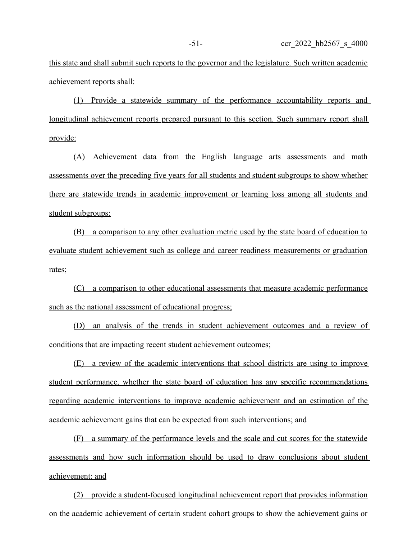this state and shall submit such reports to the governor and the legislature. Such written academic achievement reports shall:

(1) Provide a statewide summary of the performance accountability reports and longitudinal achievement reports prepared pursuant to this section. Such summary report shall provide:

(A) Achievement data from the English language arts assessments and math assessments over the preceding five years for all students and student subgroups to show whether there are statewide trends in academic improvement or learning loss among all students and student subgroups;

(B) a comparison to any other evaluation metric used by the state board of education to evaluate student achievement such as college and career readiness measurements or graduation rates;

(C) a comparison to other educational assessments that measure academic performance such as the national assessment of educational progress;

(D) an analysis of the trends in student achievement outcomes and a review of conditions that are impacting recent student achievement outcomes;

 (E) a review of the academic interventions that school districts are using to improve student performance, whether the state board of education has any specific recommendations regarding academic interventions to improve academic achievement and an estimation of the academic achievement gains that can be expected from such interventions; and

(F) a summary of the performance levels and the scale and cut scores for the statewide assessments and how such information should be used to draw conclusions about student achievement; and

(2) provide a student-focused longitudinal achievement report that provides information on the academic achievement of certain student cohort groups to show the achievement gains or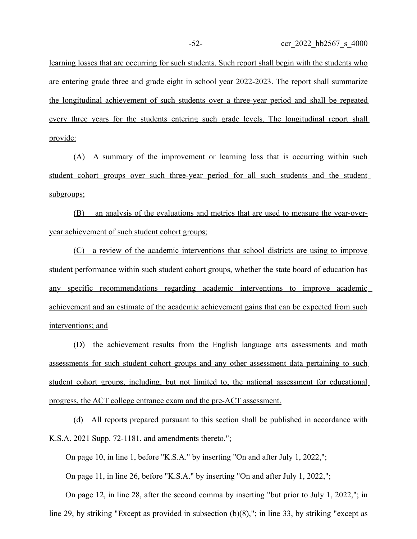learning losses that are occurring for such students. Such report shall begin with the students who are entering grade three and grade eight in school year 2022-2023. The report shall summarize the longitudinal achievement of such students over a three-year period and shall be repeated every three years for the students entering such grade levels. The longitudinal report shall provide:

(A) A summary of the improvement or learning loss that is occurring within such student cohort groups over such three-year period for all such students and the student subgroups;

(B) an analysis of the evaluations and metrics that are used to measure the year-overyear achievement of such student cohort groups;

(C) a review of the academic interventions that school districts are using to improve student performance within such student cohort groups, whether the state board of education has any specific recommendations regarding academic interventions to improve academic achievement and an estimate of the academic achievement gains that can be expected from such interventions; and

(D) the achievement results from the English language arts assessments and math assessments for such student cohort groups and any other assessment data pertaining to such student cohort groups, including, but not limited to, the national assessment for educational progress, the ACT college entrance exam and the pre-ACT assessment.

(d) All reports prepared pursuant to this section shall be published in accordance with K.S.A. 2021 Supp. 72-1181, and amendments thereto.";

On page 10, in line 1, before "K.S.A." by inserting "On and after July 1, 2022,";

On page 11, in line 26, before "K.S.A." by inserting "On and after July 1, 2022,";

On page 12, in line 28, after the second comma by inserting "but prior to July 1, 2022,"; in

line 29, by striking "Except as provided in subsection (b)(8),"; in line 33, by striking "except as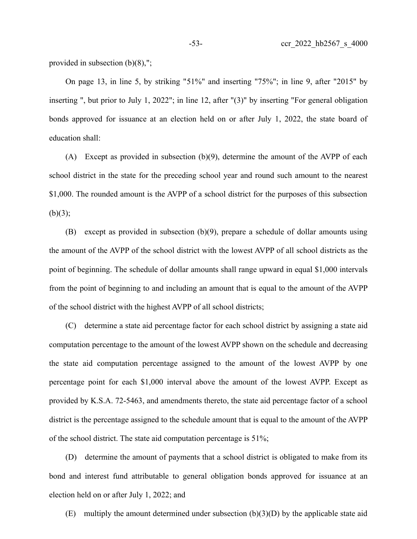provided in subsection (b)(8),";

On page 13, in line 5, by striking "51%" and inserting "75%"; in line 9, after "2015" by inserting ", but prior to July 1, 2022"; in line 12, after "(3)" by inserting "For general obligation bonds approved for issuance at an election held on or after July 1, 2022, the state board of education shall:

(A) Except as provided in subsection (b)(9), determine the amount of the AVPP of each school district in the state for the preceding school year and round such amount to the nearest \$1,000. The rounded amount is the AVPP of a school district for the purposes of this subsection  $(b)(3);$ 

(B) except as provided in subsection (b)(9), prepare a schedule of dollar amounts using the amount of the AVPP of the school district with the lowest AVPP of all school districts as the point of beginning. The schedule of dollar amounts shall range upward in equal \$1,000 intervals from the point of beginning to and including an amount that is equal to the amount of the AVPP of the school district with the highest AVPP of all school districts;

(C) determine a state aid percentage factor for each school district by assigning a state aid computation percentage to the amount of the lowest AVPP shown on the schedule and decreasing the state aid computation percentage assigned to the amount of the lowest AVPP by one percentage point for each \$1,000 interval above the amount of the lowest AVPP. Except as provided by K.S.A. 72-5463, and amendments thereto, the state aid percentage factor of a school district is the percentage assigned to the schedule amount that is equal to the amount of the AVPP of the school district. The state aid computation percentage is 51%;

(D) determine the amount of payments that a school district is obligated to make from its bond and interest fund attributable to general obligation bonds approved for issuance at an election held on or after July 1, 2022; and

(E) multiply the amount determined under subsection (b)(3)(D) by the applicable state aid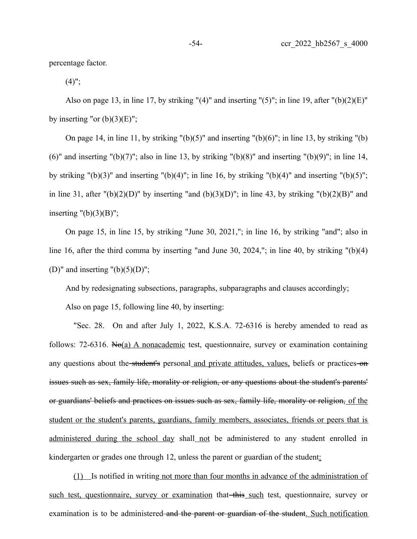percentage factor.

 $(4)$ ";

Also on page 13, in line 17, by striking " $(4)$ " and inserting " $(5)$ "; in line 19, after " $(b)(2)(E)$ " by inserting "or  $(b)(3)(E)$ ";

On page 14, in line 11, by striking " $(b)(5)$ " and inserting " $(b)(6)$ "; in line 13, by striking " $(b)$ (6)" and inserting "(b)(7)"; also in line 13, by striking "(b)(8)" and inserting "(b)(9)"; in line 14, by striking " $(b)(3)$ " and inserting " $(b)(4)$ "; in line 16, by striking " $(b)(4)$ " and inserting " $(b)(5)$ "; in line 31, after " $(b)(2)(D)$ " by inserting "and  $(b)(3)(D)$ "; in line 43, by striking " $(b)(2)(B)$ " and inserting  $"({b})(3)(B)"$ ;

On page 15, in line 15, by striking "June 30, 2021,"; in line 16, by striking "and"; also in line 16, after the third comma by inserting "and June 30, 2024,"; in line 40, by striking "(b)(4) (D)" and inserting " $(b)(5)(D)$ ";

And by redesignating subsections, paragraphs, subparagraphs and clauses accordingly;

Also on page 15, following line 40, by inserting:

"Sec. 28. On and after July 1, 2022, K.S.A. 72-6316 is hereby amended to read as follows: 72-6316. No(a) A nonacademic test, questionnaire, survey or examination containing any questions about the student's personal and private attitudes, values, beliefs or practices on issues such as sex, family life, morality or religion, or any questions about the student's parents' or guardians' beliefs and practices on issues such as sex, family life, morality or religion, of the student or the student's parents, guardians, family members, associates, friends or peers that is administered during the school day shall not be administered to any student enrolled in kindergarten or grades one through 12, unless the parent or guardian of the student:

(1) Is notified in writing not more than four months in advance of the administration of such test, questionnaire, survey or examination that this such test, questionnaire, survey or examination is to be administered and the parent or guardian of the student. Such notification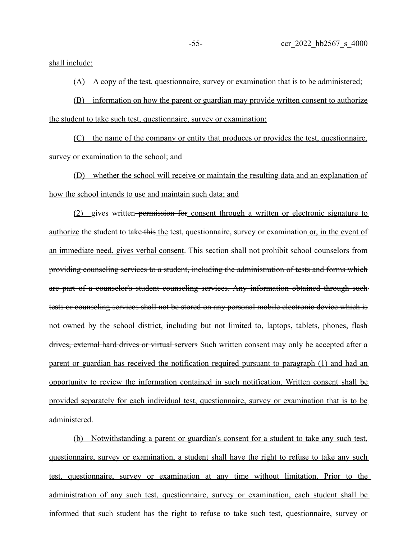shall include:

(A) A copy of the test, questionnaire, survey or examination that is to be administered;

(B) information on how the parent or guardian may provide written consent to authorize the student to take such test, questionnaire, survey or examination;

(C) the name of the company or entity that produces or provides the test, questionnaire, survey or examination to the school; and

(D) whether the school will receive or maintain the resulting data and an explanation of how the school intends to use and maintain such data; and

(2) gives written permission for consent through a written or electronic signature to authorize the student to take this the test, questionnaire, survey or examination or, in the event of an immediate need, gives verbal consent. This section shall not prohibit school counselors from providing counseling services to a student, including the administration of tests and forms which are part of a counselor's student counseling services. Any information obtained through such tests or counseling services shall not be stored on any personal mobile electronic device which is not owned by the school district, including but not limited to, laptops, tablets, phones, flash drives, external hard drives or virtual servers Such written consent may only be accepted after a parent or guardian has received the notification required pursuant to paragraph (1) and had an opportunity to review the information contained in such notification. Written consent shall be provided separately for each individual test, questionnaire, survey or examination that is to be administered.

(b) Notwithstanding a parent or guardian's consent for a student to take any such test, questionnaire, survey or examination, a student shall have the right to refuse to take any such test, questionnaire, survey or examination at any time without limitation. Prior to the administration of any such test, questionnaire, survey or examination, each student shall be informed that such student has the right to refuse to take such test, questionnaire, survey or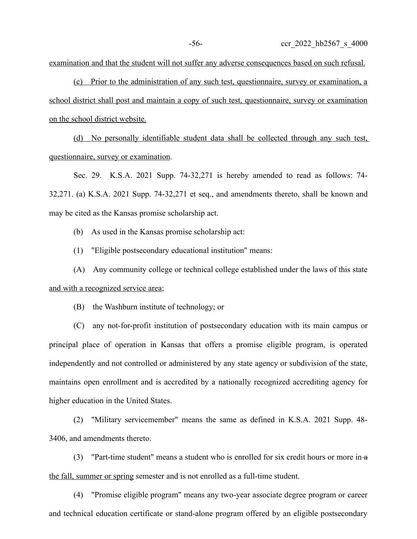examination and that the student will not suffer any adverse consequences based on such refusal.

(c) Prior to the administration of any such test, questionnaire, survey or examination, a school district shall post and maintain a copy of such test, questionnaire, survey or examination on the school district website.

(d) No personally identifiable student data shall be collected through any such test, questionnaire, survey or examination.

Sec. 29. K.S.A. 2021 Supp. 74-32,271 is hereby amended to read as follows: 74- 32,271. (a) K.S.A. 2021 Supp. 74-32,271 et seq., and amendments thereto, shall be known and may be cited as the Kansas promise scholarship act.

(b) As used in the Kansas promise scholarship act:

(1) "Eligible postsecondary educational institution" means:

(A) Any community college or technical college established under the laws of this state and with a recognized service area;

(B) the Washburn institute of technology; or

(C) any not-for-profit institution of postsecondary education with its main campus or principal place of operation in Kansas that offers a promise eligible program, is operated independently and not controlled or administered by any state agency or subdivision of the state, maintains open enrollment and is accredited by a nationally recognized accrediting agency for higher education in the United States.

(2) "Military servicemember" means the same as defined in K.S.A. 2021 Supp. 48- 3406, and amendments thereto.

(3) "Part-time student" means a student who is enrolled for six credit hours or more in- $\alpha$ the fall, summer or spring semester and is not enrolled as a full-time student.

(4) "Promise eligible program" means any two-year associate degree program or career and technical education certificate or stand-alone program offered by an eligible postsecondary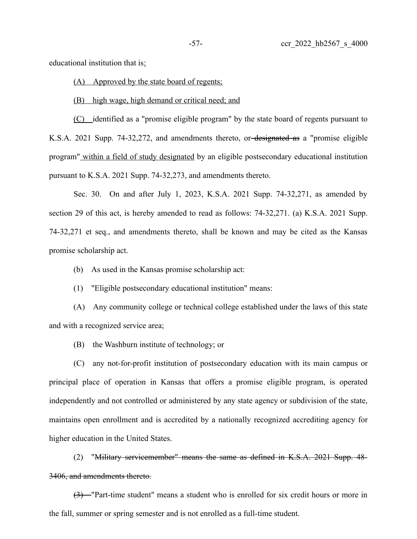educational institution that is:

(A) Approved by the state board of regents;

(B) high wage, high demand or critical need; and

(C) identified as a "promise eligible program" by the state board of regents pursuant to K.S.A. 2021 Supp. 74-32,272, and amendments thereto, or designated as a "promise eligible program" within a field of study designated by an eligible postsecondary educational institution pursuant to K.S.A. 2021 Supp. 74-32,273, and amendments thereto.

Sec. 30. On and after July 1, 2023, K.S.A. 2021 Supp. 74-32,271, as amended by section 29 of this act, is hereby amended to read as follows: 74-32,271. (a) K.S.A. 2021 Supp. 74-32,271 et seq., and amendments thereto, shall be known and may be cited as the Kansas promise scholarship act.

(b) As used in the Kansas promise scholarship act:

(1) "Eligible postsecondary educational institution" means:

(A) Any community college or technical college established under the laws of this state and with a recognized service area;

(B) the Washburn institute of technology; or

(C) any not-for-profit institution of postsecondary education with its main campus or principal place of operation in Kansas that offers a promise eligible program, is operated independently and not controlled or administered by any state agency or subdivision of the state, maintains open enrollment and is accredited by a nationally recognized accrediting agency for higher education in the United States.

(2) "Military servicemember" means the same as defined in K.S.A. 2021 Supp. 48- 3406, and amendments thereto.

(3) "Part-time student" means a student who is enrolled for six credit hours or more in the fall, summer or spring semester and is not enrolled as a full-time student.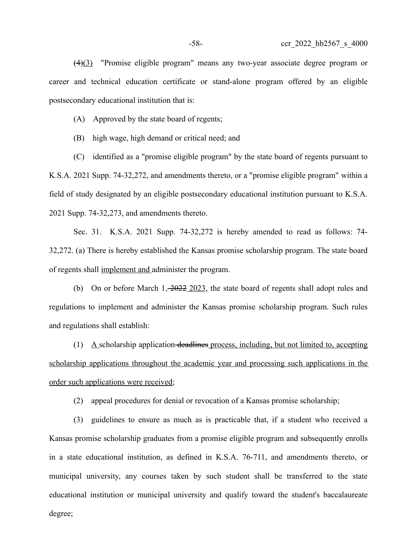(4)(3) "Promise eligible program" means any two-year associate degree program or career and technical education certificate or stand-alone program offered by an eligible postsecondary educational institution that is:

(A) Approved by the state board of regents;

(B) high wage, high demand or critical need; and

(C) identified as a "promise eligible program" by the state board of regents pursuant to K.S.A. 2021 Supp. 74-32,272, and amendments thereto, or a "promise eligible program" within a field of study designated by an eligible postsecondary educational institution pursuant to K.S.A. 2021 Supp. 74-32,273, and amendments thereto.

Sec. 31. K.S.A. 2021 Supp. 74-32,272 is hereby amended to read as follows: 74- 32,272. (a) There is hereby established the Kansas promise scholarship program. The state board of regents shall implement and administer the program.

(b) On or before March 1, 2022 2023, the state board of regents shall adopt rules and regulations to implement and administer the Kansas promise scholarship program. Such rules and regulations shall establish:

(1) A scholarship application deadlines process, including, but not limited to, accepting scholarship applications throughout the academic year and processing such applications in the order such applications were received;

(2) appeal procedures for denial or revocation of a Kansas promise scholarship;

(3) guidelines to ensure as much as is practicable that, if a student who received a Kansas promise scholarship graduates from a promise eligible program and subsequently enrolls in a state educational institution, as defined in K.S.A. 76-711, and amendments thereto, or municipal university, any courses taken by such student shall be transferred to the state educational institution or municipal university and qualify toward the student's baccalaureate degree;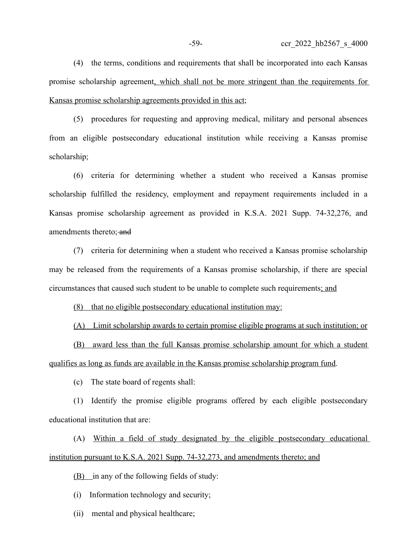(4) the terms, conditions and requirements that shall be incorporated into each Kansas promise scholarship agreement, which shall not be more stringent than the requirements for Kansas promise scholarship agreements provided in this act;

(5) procedures for requesting and approving medical, military and personal absences from an eligible postsecondary educational institution while receiving a Kansas promise scholarship;

(6) criteria for determining whether a student who received a Kansas promise scholarship fulfilled the residency, employment and repayment requirements included in a Kansas promise scholarship agreement as provided in K.S.A. 2021 Supp. 74-32,276, and amendments thereto; and

(7) criteria for determining when a student who received a Kansas promise scholarship may be released from the requirements of a Kansas promise scholarship, if there are special circumstances that caused such student to be unable to complete such requirements; and

(8) that no eligible postsecondary educational institution may:

(A) Limit scholarship awards to certain promise eligible programs at such institution; or

(B) award less than the full Kansas promise scholarship amount for which a student qualifies as long as funds are available in the Kansas promise scholarship program fund.

(c) The state board of regents shall:

(1) Identify the promise eligible programs offered by each eligible postsecondary educational institution that are:

(A) Within a field of study designated by the eligible postsecondary educational institution pursuant to K.S.A. 2021 Supp. 74-32,273, and amendments thereto; and

(B) in any of the following fields of study:

(i) Information technology and security;

(ii) mental and physical healthcare;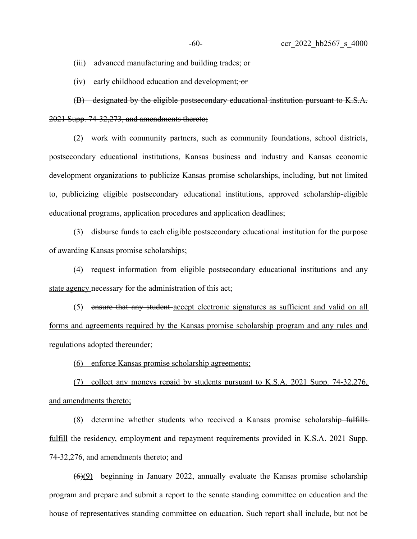(iii) advanced manufacturing and building trades; or

(iv) early childhood education and development;  $-$ or

(B) designated by the eligible postsecondary educational institution pursuant to K.S.A. 2021 Supp. 74-32,273, and amendments thereto;

(2) work with community partners, such as community foundations, school districts, postsecondary educational institutions, Kansas business and industry and Kansas economic development organizations to publicize Kansas promise scholarships, including, but not limited to, publicizing eligible postsecondary educational institutions, approved scholarship-eligible educational programs, application procedures and application deadlines;

(3) disburse funds to each eligible postsecondary educational institution for the purpose of awarding Kansas promise scholarships;

(4) request information from eligible postsecondary educational institutions and any state agency necessary for the administration of this act;

(5) ensure that any student-accept electronic signatures as sufficient and valid on all forms and agreements required by the Kansas promise scholarship program and any rules and regulations adopted thereunder;

(6) enforce Kansas promise scholarship agreements;

(7) collect any moneys repaid by students pursuant to K.S.A. 2021 Supp. 74-32,276, and amendments thereto;

(8) determine whether students who received a Kansas promise scholarship fulfills fulfill the residency, employment and repayment requirements provided in K.S.A. 2021 Supp. 74-32,276, and amendments thereto; and

 $(6)(9)$  beginning in January 2022, annually evaluate the Kansas promise scholarship program and prepare and submit a report to the senate standing committee on education and the house of representatives standing committee on education. Such report shall include, but not be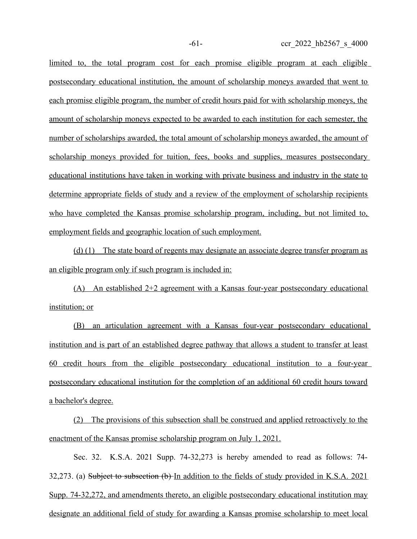limited to, the total program cost for each promise eligible program at each eligible postsecondary educational institution, the amount of scholarship moneys awarded that went to each promise eligible program, the number of credit hours paid for with scholarship moneys, the amount of scholarship moneys expected to be awarded to each institution for each semester, the number of scholarships awarded, the total amount of scholarship moneys awarded, the amount of scholarship moneys provided for tuition, fees, books and supplies, measures postsecondary educational institutions have taken in working with private business and industry in the state to determine appropriate fields of study and a review of the employment of scholarship recipients who have completed the Kansas promise scholarship program, including, but not limited to, employment fields and geographic location of such employment.

 (d) (1) The state board of regents may designate an associate degree transfer program as an eligible program only if such program is included in:

(A) An established 2+2 agreement with a Kansas four-year postsecondary educational institution; or

(B) an articulation agreement with a Kansas four-year postsecondary educational institution and is part of an established degree pathway that allows a student to transfer at least 60 credit hours from the eligible postsecondary educational institution to a four-year postsecondary educational institution for the completion of an additional 60 credit hours toward a bachelor's degree.

(2) The provisions of this subsection shall be construed and applied retroactively to the enactment of the Kansas promise scholarship program on July 1, 2021.

Sec. 32. K.S.A. 2021 Supp. 74-32,273 is hereby amended to read as follows: 74- 32,273. (a) Subject to subsection (b) In addition to the fields of study provided in K.S.A. 2021 Supp. 74-32,272, and amendments thereto, an eligible postsecondary educational institution may designate an additional field of study for awarding a Kansas promise scholarship to meet local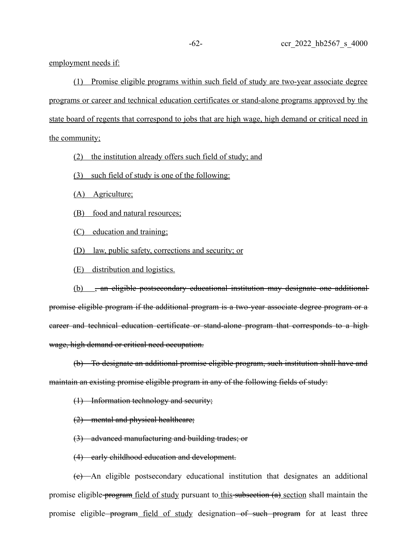employment needs if:

(1) Promise eligible programs within such field of study are two-year associate degree programs or career and technical education certificates or stand-alone programs approved by the state board of regents that correspond to jobs that are high wage, high demand or critical need in the community;

(2) the institution already offers such field of study; and

(3) such field of study is one of the following:

(A) Agriculture;

(B) food and natural resources;

(C) education and training;

(D) law, public safety, corrections and security; or

(E) distribution and logistics.

(b) , an eligible postsecondary educational institution may designate one additionalpromise eligible program if the additional program is a two-year associate degree program or a career and technical education certificate or stand-alone program that corresponds to a high wage, high demand or critical need occupation.

(b) To designate an additional promise eligible program, such institution shall have and maintain an existing promise eligible program in any of the following fields of study:

(1) Information technology and security;

(2) mental and physical healthcare;

(3) advanced manufacturing and building trades; or

(4) early childhood education and development.

(c) An eligible postsecondary educational institution that designates an additional promise eligible program field of study pursuant to this subsection  $(a)$  section shall maintain the promise eligible program field of study designation of such program for at least three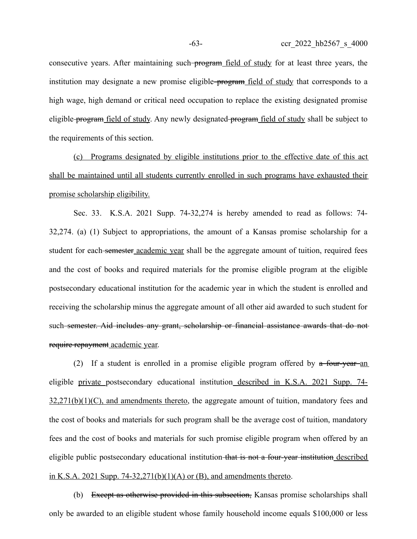consecutive years. After maintaining such-program field of study for at least three years, the institution may designate a new promise eligible-program field of study that corresponds to a high wage, high demand or critical need occupation to replace the existing designated promise eligible program field of study. Any newly designated program field of study shall be subject to the requirements of this section.

(c) Programs designated by eligible institutions prior to the effective date of this act shall be maintained until all students currently enrolled in such programs have exhausted their promise scholarship eligibility.

Sec. 33. K.S.A. 2021 Supp. 74-32,274 is hereby amended to read as follows: 74- 32,274. (a) (1) Subject to appropriations, the amount of a Kansas promise scholarship for a student for each-semester academic year shall be the aggregate amount of tuition, required fees and the cost of books and required materials for the promise eligible program at the eligible postsecondary educational institution for the academic year in which the student is enrolled and receiving the scholarship minus the aggregate amount of all other aid awarded to such student for such semester. Aid includes any grant, scholarship or financial assistance awards that do not require repayment academic year.

(2) If a student is enrolled in a promise eligible program offered by  $\alpha$  four-year-an eligible private postsecondary educational institution described in K.S.A. 2021 Supp. 74-  $32,271(b)(1)(C)$ , and amendments thereto, the aggregate amount of tuition, mandatory fees and the cost of books and materials for such program shall be the average cost of tuition, mandatory fees and the cost of books and materials for such promise eligible program when offered by an eligible public postsecondary educational institution that is not a four-year institution described in K.S.A. 2021 Supp. 74-32,271(b)(1)(A) or (B), and amendments thereto.

(b) Except as otherwise provided in this subsection, Kansas promise scholarships shall only be awarded to an eligible student whose family household income equals \$100,000 or less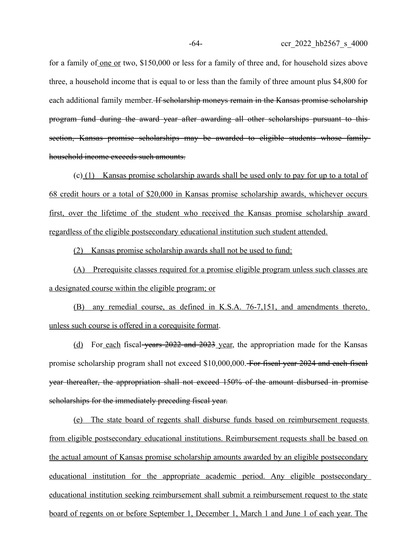for a family of one or two, \$150,000 or less for a family of three and, for household sizes above three, a household income that is equal to or less than the family of three amount plus \$4,800 for each additional family member. If scholarship moneys remain in the Kansas promise scholarship program fund during the award year after awarding all other scholarships pursuant to this section, Kansas promise scholarships may be awarded to eligible students whose family household income exceeds such amounts.

 $(c)$  (1) Kansas promise scholarship awards shall be used only to pay for up to a total of 68 credit hours or a total of \$20,000 in Kansas promise scholarship awards, whichever occurs first, over the lifetime of the student who received the Kansas promise scholarship award regardless of the eligible postsecondary educational institution such student attended.

(2) Kansas promise scholarship awards shall not be used to fund:

(A) Prerequisite classes required for a promise eligible program unless such classes are a designated course within the eligible program; or

(B) any remedial course, as defined in K.S.A. 76-7,151, and amendments thereto, unless such course is offered in a corequisite format.

(d) For each fiscal years 2022 and 2023 year, the appropriation made for the Kansas promise scholarship program shall not exceed \$10,000,000. For fiscal year 2024 and each fiscal year thereafter, the appropriation shall not exceed 150% of the amount disbursed in promise scholarships for the immediately preceding fiscal year.

(e) The state board of regents shall disburse funds based on reimbursement requests from eligible postsecondary educational institutions. Reimbursement requests shall be based on the actual amount of Kansas promise scholarship amounts awarded by an eligible postsecondary educational institution for the appropriate academic period. Any eligible postsecondary educational institution seeking reimbursement shall submit a reimbursement request to the state board of regents on or before September 1, December 1, March 1 and June 1 of each year. The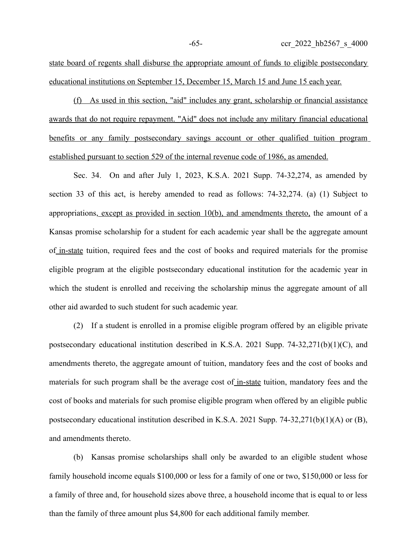state board of regents shall disburse the appropriate amount of funds to eligible postsecondary educational institutions on September 15, December 15, March 15 and June 15 each year.

(f) As used in this section, "aid" includes any grant, scholarship or financial assistance awards that do not require repayment. "Aid" does not include any military financial educational benefits or any family postsecondary savings account or other qualified tuition program established pursuant to section 529 of the internal revenue code of 1986, as amended.

Sec. 34. On and after July 1, 2023, K.S.A. 2021 Supp. 74-32,274, as amended by section 33 of this act, is hereby amended to read as follows: 74-32,274. (a) (1) Subject to appropriations, except as provided in section 10(b), and amendments thereto, the amount of a Kansas promise scholarship for a student for each academic year shall be the aggregate amount of in-state tuition, required fees and the cost of books and required materials for the promise eligible program at the eligible postsecondary educational institution for the academic year in which the student is enrolled and receiving the scholarship minus the aggregate amount of all other aid awarded to such student for such academic year.

(2) If a student is enrolled in a promise eligible program offered by an eligible private postsecondary educational institution described in K.S.A. 2021 Supp. 74-32,271(b)(1)(C), and amendments thereto, the aggregate amount of tuition, mandatory fees and the cost of books and materials for such program shall be the average cost of in-state tuition, mandatory fees and the cost of books and materials for such promise eligible program when offered by an eligible public postsecondary educational institution described in K.S.A. 2021 Supp. 74-32,271(b)(1)(A) or (B), and amendments thereto.

(b) Kansas promise scholarships shall only be awarded to an eligible student whose family household income equals \$100,000 or less for a family of one or two, \$150,000 or less for a family of three and, for household sizes above three, a household income that is equal to or less than the family of three amount plus \$4,800 for each additional family member.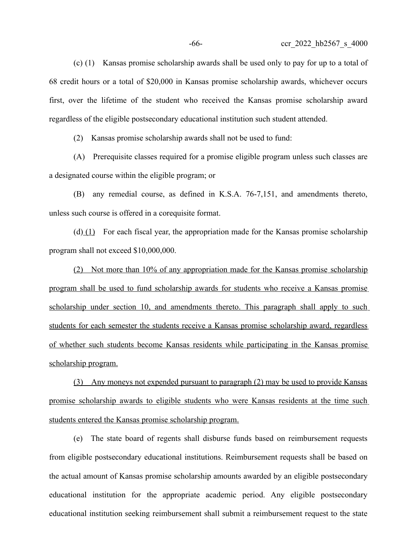(c) (1) Kansas promise scholarship awards shall be used only to pay for up to a total of 68 credit hours or a total of \$20,000 in Kansas promise scholarship awards, whichever occurs first, over the lifetime of the student who received the Kansas promise scholarship award regardless of the eligible postsecondary educational institution such student attended.

(2) Kansas promise scholarship awards shall not be used to fund:

(A) Prerequisite classes required for a promise eligible program unless such classes are a designated course within the eligible program; or

(B) any remedial course, as defined in K.S.A. 76-7,151, and amendments thereto, unless such course is offered in a corequisite format.

(d)  $(1)$  For each fiscal year, the appropriation made for the Kansas promise scholarship program shall not exceed \$10,000,000.

 (2) Not more than 10% of any appropriation made for the Kansas promise scholarship program shall be used to fund scholarship awards for students who receive a Kansas promise scholarship under section 10, and amendments thereto. This paragraph shall apply to such students for each semester the students receive a Kansas promise scholarship award, regardless of whether such students become Kansas residents while participating in the Kansas promise scholarship program.

(3) Any moneys not expended pursuant to paragraph (2) may be used to provide Kansas promise scholarship awards to eligible students who were Kansas residents at the time such students entered the Kansas promise scholarship program.

(e) The state board of regents shall disburse funds based on reimbursement requests from eligible postsecondary educational institutions. Reimbursement requests shall be based on the actual amount of Kansas promise scholarship amounts awarded by an eligible postsecondary educational institution for the appropriate academic period. Any eligible postsecondary educational institution seeking reimbursement shall submit a reimbursement request to the state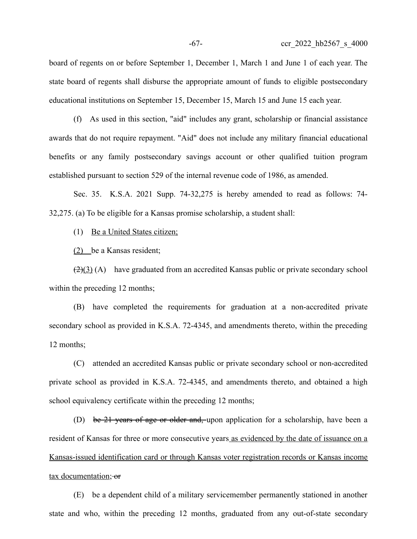board of regents on or before September 1, December 1, March 1 and June 1 of each year. The state board of regents shall disburse the appropriate amount of funds to eligible postsecondary educational institutions on September 15, December 15, March 15 and June 15 each year.

(f) As used in this section, "aid" includes any grant, scholarship or financial assistance awards that do not require repayment. "Aid" does not include any military financial educational benefits or any family postsecondary savings account or other qualified tuition program established pursuant to section 529 of the internal revenue code of 1986, as amended.

Sec. 35. K.S.A. 2021 Supp. 74-32,275 is hereby amended to read as follows: 74- 32,275. (a) To be eligible for a Kansas promise scholarship, a student shall:

(1) Be a United States citizen;

(2) be a Kansas resident;

 $\left(\frac{2}{3}\right)$  (A) have graduated from an accredited Kansas public or private secondary school within the preceding 12 months;

(B) have completed the requirements for graduation at a non-accredited private secondary school as provided in K.S.A. 72-4345, and amendments thereto, within the preceding 12 months;

(C) attended an accredited Kansas public or private secondary school or non-accredited private school as provided in K.S.A. 72-4345, and amendments thereto, and obtained a high school equivalency certificate within the preceding 12 months;

(D) be 21 years of age or older and, upon application for a scholarship, have been a resident of Kansas for three or more consecutive years as evidenced by the date of issuance on a Kansas-issued identification card or through Kansas voter registration records or Kansas income tax documentation; or

(E) be a dependent child of a military servicemember permanently stationed in another state and who, within the preceding 12 months, graduated from any out-of-state secondary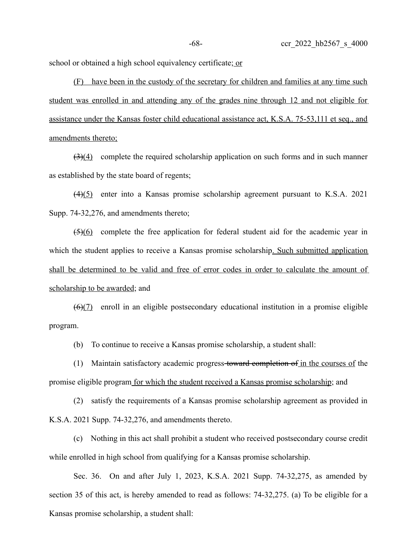school or obtained a high school equivalency certificate; or

(F) have been in the custody of the secretary for children and families at any time such student was enrolled in and attending any of the grades nine through 12 and not eligible for assistance under the Kansas foster child educational assistance act, K.S.A. 75-53,111 et seq., and amendments thereto;

 $\left(\frac{3}{4}\right)$  complete the required scholarship application on such forms and in such manner as established by the state board of regents;

(4)(5) enter into a Kansas promise scholarship agreement pursuant to K.S.A. 2021 Supp. 74-32,276, and amendments thereto;

(5)(6) complete the free application for federal student aid for the academic year in which the student applies to receive a Kansas promise scholarship. Such submitted application shall be determined to be valid and free of error codes in order to calculate the amount of scholarship to be awarded; and

 $(6)(7)$  enroll in an eligible postsecondary educational institution in a promise eligible program.

(b) To continue to receive a Kansas promise scholarship, a student shall:

(1) Maintain satisfactory academic progress toward completion of in the courses of the promise eligible program for which the student received a Kansas promise scholarship; and

(2) satisfy the requirements of a Kansas promise scholarship agreement as provided in K.S.A. 2021 Supp. 74-32,276, and amendments thereto.

(c) Nothing in this act shall prohibit a student who received postsecondary course credit while enrolled in high school from qualifying for a Kansas promise scholarship.

Sec. 36. On and after July 1, 2023, K.S.A. 2021 Supp. 74-32,275, as amended by section 35 of this act, is hereby amended to read as follows: 74-32,275. (a) To be eligible for a Kansas promise scholarship, a student shall: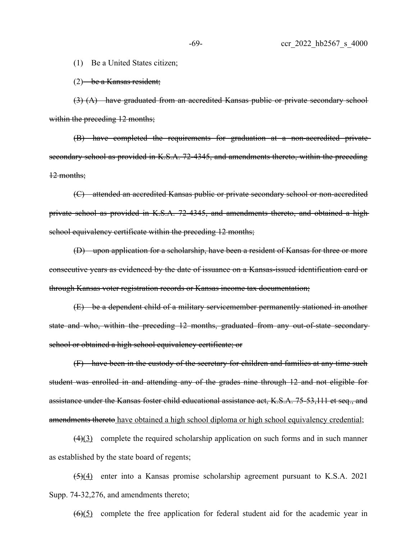(1) Be a United States citizen;

 $(2)$  be a Kansas resident;

(3) (A) have graduated from an accredited Kansas public or private secondary school within the preceding 12 months;

(B) have completed the requirements for graduation at a non-accredited private secondary school as provided in K.S.A. 72-4345, and amendments thereto, within the preceding 12 months;

(C) attended an accredited Kansas public or private secondary school or non-accredited private school as provided in K.S.A. 72-4345, and amendments thereto, and obtained a highschool equivalency certificate within the preceding 12 months;

(D) upon application for a scholarship, have been a resident of Kansas for three or more consecutive years as evidenced by the date of issuance on a Kansas-issued identification card or through Kansas voter registration records or Kansas income tax documentation;

(E) be a dependent child of a military servicemember permanently stationed in another state and who, within the preceding 12 months, graduated from any out-of-state secondary school or obtained a high school equivalency certificate; or

(F) have been in the custody of the secretary for children and families at any time such student was enrolled in and attending any of the grades nine through 12 and not eligible for assistance under the Kansas foster child educational assistance act, K.S.A. 75-53,111 et seq., and amendments thereto have obtained a high school diploma or high school equivalency credential;

 $(4)(3)$  complete the required scholarship application on such forms and in such manner as established by the state board of regents;

(5)(4) enter into a Kansas promise scholarship agreement pursuant to K.S.A. 2021 Supp. 74-32,276, and amendments thereto;

 $(6)(5)$  complete the free application for federal student aid for the academic year in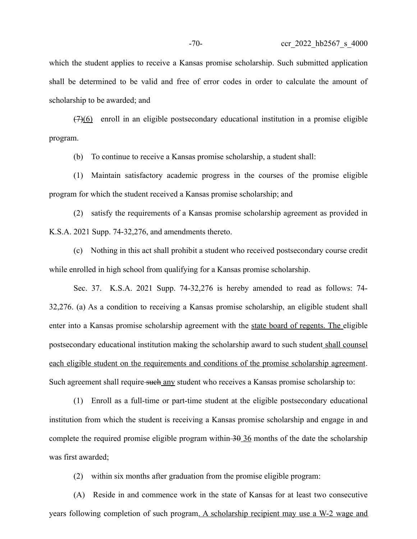which the student applies to receive a Kansas promise scholarship. Such submitted application shall be determined to be valid and free of error codes in order to calculate the amount of scholarship to be awarded; and

 $(7)(6)$  enroll in an eligible postsecondary educational institution in a promise eligible program.

(b) To continue to receive a Kansas promise scholarship, a student shall:

(1) Maintain satisfactory academic progress in the courses of the promise eligible program for which the student received a Kansas promise scholarship; and

(2) satisfy the requirements of a Kansas promise scholarship agreement as provided in K.S.A. 2021 Supp. 74-32,276, and amendments thereto.

(c) Nothing in this act shall prohibit a student who received postsecondary course credit while enrolled in high school from qualifying for a Kansas promise scholarship.

Sec. 37. K.S.A. 2021 Supp. 74-32,276 is hereby amended to read as follows: 74- 32,276. (a) As a condition to receiving a Kansas promise scholarship, an eligible student shall enter into a Kansas promise scholarship agreement with the state board of regents. The eligible postsecondary educational institution making the scholarship award to such student shall counsel each eligible student on the requirements and conditions of the promise scholarship agreement. Such agreement shall require such any student who receives a Kansas promise scholarship to:

(1) Enroll as a full-time or part-time student at the eligible postsecondary educational institution from which the student is receiving a Kansas promise scholarship and engage in and complete the required promise eligible program within  $\frac{30 \text{ 36}}{10}$  months of the date the scholarship was first awarded;

(2) within six months after graduation from the promise eligible program:

(A) Reside in and commence work in the state of Kansas for at least two consecutive years following completion of such program. A scholarship recipient may use a W-2 wage and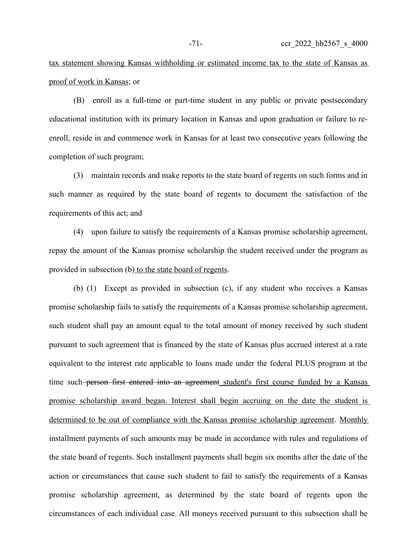tax statement showing Kansas withholding or estimated income tax to the state of Kansas as proof of work in Kansas; or

(B) enroll as a full-time or part-time student in any public or private postsecondary educational institution with its primary location in Kansas and upon graduation or failure to reenroll, reside in and commence work in Kansas for at least two consecutive years following the completion of such program;

(3) maintain records and make reports to the state board of regents on such forms and in such manner as required by the state board of regents to document the satisfaction of the requirements of this act; and

(4) upon failure to satisfy the requirements of a Kansas promise scholarship agreement, repay the amount of the Kansas promise scholarship the student received under the program as provided in subsection (b) to the state board of regents.

(b) (1) Except as provided in subsection (c), if any student who receives a Kansas promise scholarship fails to satisfy the requirements of a Kansas promise scholarship agreement, such student shall pay an amount equal to the total amount of money received by such student pursuant to such agreement that is financed by the state of Kansas plus accrued interest at a rate equivalent to the interest rate applicable to loans made under the federal PLUS program at the time such person first entered into an agreement student's first course funded by a Kansas promise scholarship award began. Interest shall begin accruing on the date the student is determined to be out of compliance with the Kansas promise scholarship agreement. Monthly installment payments of such amounts may be made in accordance with rules and regulations of the state board of regents. Such installment payments shall begin six months after the date of the action or circumstances that cause such student to fail to satisfy the requirements of a Kansas promise scholarship agreement, as determined by the state board of regents upon the circumstances of each individual case. All moneys received pursuant to this subsection shall be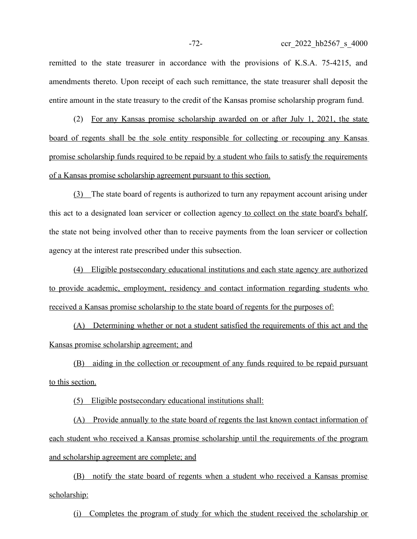remitted to the state treasurer in accordance with the provisions of K.S.A. 75-4215, and amendments thereto. Upon receipt of each such remittance, the state treasurer shall deposit the entire amount in the state treasury to the credit of the Kansas promise scholarship program fund.

(2) For any Kansas promise scholarship awarded on or after July 1, 2021, the state board of regents shall be the sole entity responsible for collecting or recouping any Kansas promise scholarship funds required to be repaid by a student who fails to satisfy the requirements of a Kansas promise scholarship agreement pursuant to this section.

(3) The state board of regents is authorized to turn any repayment account arising under this act to a designated loan servicer or collection agency to collect on the state board's behalf, the state not being involved other than to receive payments from the loan servicer or collection agency at the interest rate prescribed under this subsection.

(4) Eligible postsecondary educational institutions and each state agency are authorized to provide academic, employment, residency and contact information regarding students who received a Kansas promise scholarship to the state board of regents for the purposes of:

(A) Determining whether or not a student satisfied the requirements of this act and the Kansas promise scholarship agreement; and

(B) aiding in the collection or recoupment of any funds required to be repaid pursuant to this section.

(5) Eligible postsecondary educational institutions shall:

(A) Provide annually to the state board of regents the last known contact information of each student who received a Kansas promise scholarship until the requirements of the program and scholarship agreement are complete; and

(B) notify the state board of regents when a student who received a Kansas promise scholarship:

(i) Completes the program of study for which the student received the scholarship or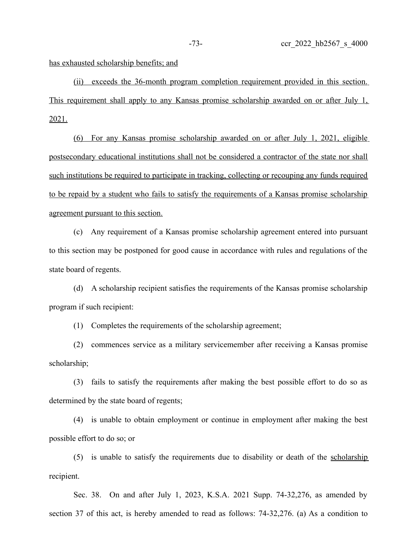has exhausted scholarship benefits; and

 (ii) exceeds the 36-month program completion requirement provided in this section. This requirement shall apply to any Kansas promise scholarship awarded on or after July 1, 2021.

(6) For any Kansas promise scholarship awarded on or after July 1, 2021, eligible postsecondary educational institutions shall not be considered a contractor of the state nor shall such institutions be required to participate in tracking, collecting or recouping any funds required to be repaid by a student who fails to satisfy the requirements of a Kansas promise scholarship agreement pursuant to this section.

(c) Any requirement of a Kansas promise scholarship agreement entered into pursuant to this section may be postponed for good cause in accordance with rules and regulations of the state board of regents.

(d) A scholarship recipient satisfies the requirements of the Kansas promise scholarship program if such recipient:

(1) Completes the requirements of the scholarship agreement;

(2) commences service as a military servicemember after receiving a Kansas promise scholarship;

(3) fails to satisfy the requirements after making the best possible effort to do so as determined by the state board of regents;

(4) is unable to obtain employment or continue in employment after making the best possible effort to do so; or

(5) is unable to satisfy the requirements due to disability or death of the scholarship recipient.

Sec. 38. On and after July 1, 2023, K.S.A. 2021 Supp. 74-32,276, as amended by section 37 of this act, is hereby amended to read as follows: 74-32,276. (a) As a condition to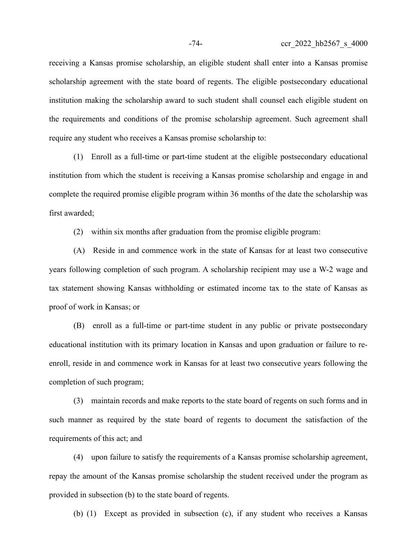receiving a Kansas promise scholarship, an eligible student shall enter into a Kansas promise scholarship agreement with the state board of regents. The eligible postsecondary educational institution making the scholarship award to such student shall counsel each eligible student on the requirements and conditions of the promise scholarship agreement. Such agreement shall require any student who receives a Kansas promise scholarship to:

(1) Enroll as a full-time or part-time student at the eligible postsecondary educational institution from which the student is receiving a Kansas promise scholarship and engage in and complete the required promise eligible program within 36 months of the date the scholarship was first awarded;

(2) within six months after graduation from the promise eligible program:

(A) Reside in and commence work in the state of Kansas for at least two consecutive years following completion of such program. A scholarship recipient may use a W-2 wage and tax statement showing Kansas withholding or estimated income tax to the state of Kansas as proof of work in Kansas; or

(B) enroll as a full-time or part-time student in any public or private postsecondary educational institution with its primary location in Kansas and upon graduation or failure to reenroll, reside in and commence work in Kansas for at least two consecutive years following the completion of such program;

(3) maintain records and make reports to the state board of regents on such forms and in such manner as required by the state board of regents to document the satisfaction of the requirements of this act; and

(4) upon failure to satisfy the requirements of a Kansas promise scholarship agreement, repay the amount of the Kansas promise scholarship the student received under the program as provided in subsection (b) to the state board of regents.

(b) (1) Except as provided in subsection (c), if any student who receives a Kansas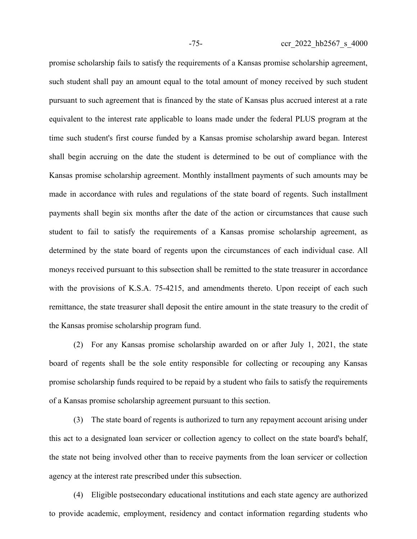promise scholarship fails to satisfy the requirements of a Kansas promise scholarship agreement, such student shall pay an amount equal to the total amount of money received by such student pursuant to such agreement that is financed by the state of Kansas plus accrued interest at a rate equivalent to the interest rate applicable to loans made under the federal PLUS program at the time such student's first course funded by a Kansas promise scholarship award began. Interest shall begin accruing on the date the student is determined to be out of compliance with the Kansas promise scholarship agreement. Monthly installment payments of such amounts may be made in accordance with rules and regulations of the state board of regents. Such installment payments shall begin six months after the date of the action or circumstances that cause such student to fail to satisfy the requirements of a Kansas promise scholarship agreement, as determined by the state board of regents upon the circumstances of each individual case. All moneys received pursuant to this subsection shall be remitted to the state treasurer in accordance with the provisions of K.S.A. 75-4215, and amendments thereto. Upon receipt of each such remittance, the state treasurer shall deposit the entire amount in the state treasury to the credit of the Kansas promise scholarship program fund.

(2) For any Kansas promise scholarship awarded on or after July 1, 2021, the state board of regents shall be the sole entity responsible for collecting or recouping any Kansas promise scholarship funds required to be repaid by a student who fails to satisfy the requirements of a Kansas promise scholarship agreement pursuant to this section.

(3) The state board of regents is authorized to turn any repayment account arising under this act to a designated loan servicer or collection agency to collect on the state board's behalf, the state not being involved other than to receive payments from the loan servicer or collection agency at the interest rate prescribed under this subsection.

(4) Eligible postsecondary educational institutions and each state agency are authorized to provide academic, employment, residency and contact information regarding students who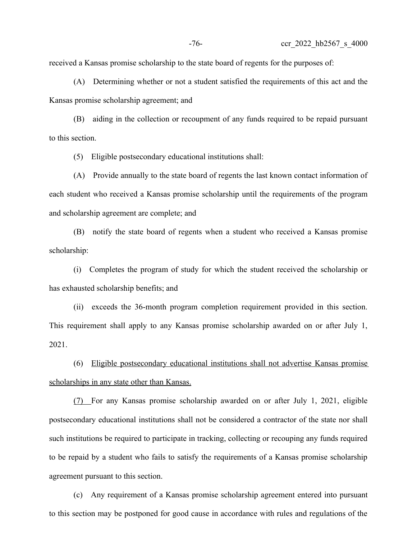received a Kansas promise scholarship to the state board of regents for the purposes of:

(A) Determining whether or not a student satisfied the requirements of this act and the Kansas promise scholarship agreement; and

(B) aiding in the collection or recoupment of any funds required to be repaid pursuant to this section.

(5) Eligible postsecondary educational institutions shall:

(A) Provide annually to the state board of regents the last known contact information of each student who received a Kansas promise scholarship until the requirements of the program and scholarship agreement are complete; and

(B) notify the state board of regents when a student who received a Kansas promise scholarship:

(i) Completes the program of study for which the student received the scholarship or has exhausted scholarship benefits; and

(ii) exceeds the 36-month program completion requirement provided in this section. This requirement shall apply to any Kansas promise scholarship awarded on or after July 1, 2021.

(6) Eligible postsecondary educational institutions shall not advertise Kansas promise scholarships in any state other than Kansas.

 (7) For any Kansas promise scholarship awarded on or after July 1, 2021, eligible postsecondary educational institutions shall not be considered a contractor of the state nor shall such institutions be required to participate in tracking, collecting or recouping any funds required to be repaid by a student who fails to satisfy the requirements of a Kansas promise scholarship agreement pursuant to this section.

(c) Any requirement of a Kansas promise scholarship agreement entered into pursuant to this section may be postponed for good cause in accordance with rules and regulations of the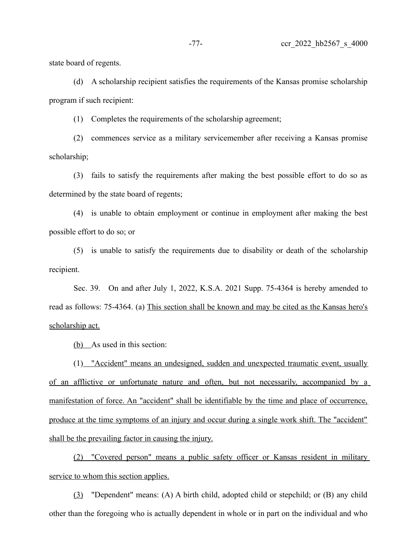state board of regents.

(d) A scholarship recipient satisfies the requirements of the Kansas promise scholarship program if such recipient:

(1) Completes the requirements of the scholarship agreement;

(2) commences service as a military servicemember after receiving a Kansas promise scholarship;

(3) fails to satisfy the requirements after making the best possible effort to do so as determined by the state board of regents;

(4) is unable to obtain employment or continue in employment after making the best possible effort to do so; or

(5) is unable to satisfy the requirements due to disability or death of the scholarship recipient.

Sec. 39. On and after July 1, 2022, K.S.A. 2021 Supp. 75-4364 is hereby amended to read as follows: 75-4364. (a) This section shall be known and may be cited as the Kansas hero's scholarship act.

 $(b)$  As used in this section:

(1) "Accident" means an undesigned, sudden and unexpected traumatic event, usually of an afflictive or unfortunate nature and often, but not necessarily, accompanied by a manifestation of force. An "accident" shall be identifiable by the time and place of occurrence, produce at the time symptoms of an injury and occur during a single work shift. The "accident" shall be the prevailing factor in causing the injury.

(2) "Covered person" means a public safety officer or Kansas resident in military service to whom this section applies.

(3) "Dependent" means: (A) A birth child, adopted child or stepchild; or (B) any child other than the foregoing who is actually dependent in whole or in part on the individual and who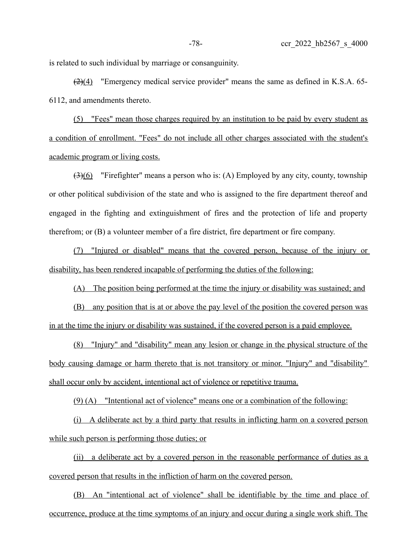is related to such individual by marriage or consanguinity.

 $\left(\frac{2}{4}\right)$  "Emergency medical service provider" means the same as defined in K.S.A. 65-6112, and amendments thereto.

(5) "Fees" mean those charges required by an institution to be paid by every student as a condition of enrollment. "Fees" do not include all other charges associated with the student's academic program or living costs.

 $\left(\frac{3}{6}\right)$  "Firefighter" means a person who is: (A) Employed by any city, county, township or other political subdivision of the state and who is assigned to the fire department thereof and engaged in the fighting and extinguishment of fires and the protection of life and property therefrom; or (B) a volunteer member of a fire district, fire department or fire company.

(7) "Injured or disabled" means that the covered person, because of the injury or disability, has been rendered incapable of performing the duties of the following:

(A) The position being performed at the time the injury or disability was sustained; and

(B) any position that is at or above the pay level of the position the covered person was in at the time the injury or disability was sustained, if the covered person is a paid employee.

 (8) "Injury" and "disability" mean any lesion or change in the physical structure of the body causing damage or harm thereto that is not transitory or minor. "Injury" and "disability" shall occur only by accident, intentional act of violence or repetitive trauma.

(9) (A) "Intentional act of violence" means one or a combination of the following:

(i) A deliberate act by a third party that results in inflicting harm on a covered person while such person is performing those duties; or

(ii) a deliberate act by a covered person in the reasonable performance of duties as a covered person that results in the infliction of harm on the covered person.

(B) An "intentional act of violence" shall be identifiable by the time and place of occurrence, produce at the time symptoms of an injury and occur during a single work shift. The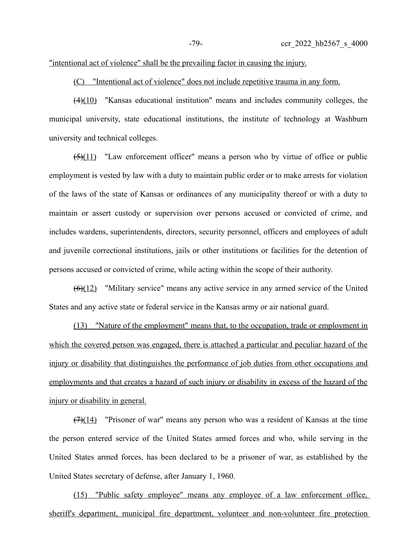## "intentional act of violence" shall be the prevailing factor in causing the injury.

(C) "Intentional act of violence" does not include repetitive trauma in any form.

 $(4)(10)$  "Kansas educational institution" means and includes community colleges, the municipal university, state educational institutions, the institute of technology at Washburn university and technical colleges.

 $(5)(11)$  "Law enforcement officer" means a person who by virtue of office or public employment is vested by law with a duty to maintain public order or to make arrests for violation of the laws of the state of Kansas or ordinances of any municipality thereof or with a duty to maintain or assert custody or supervision over persons accused or convicted of crime, and includes wardens, superintendents, directors, security personnel, officers and employees of adult and juvenile correctional institutions, jails or other institutions or facilities for the detention of persons accused or convicted of crime, while acting within the scope of their authority.

(6)(12) "Military service" means any active service in any armed service of the United States and any active state or federal service in the Kansas army or air national guard.

(13) "Nature of the employment" means that, to the occupation, trade or employment in which the covered person was engaged, there is attached a particular and peculiar hazard of the injury or disability that distinguishes the performance of job duties from other occupations and employments and that creates a hazard of such injury or disability in excess of the hazard of the injury or disability in general.

 $(7)(14)$  "Prisoner of war" means any person who was a resident of Kansas at the time the person entered service of the United States armed forces and who, while serving in the United States armed forces, has been declared to be a prisoner of war, as established by the United States secretary of defense, after January 1, 1960.

(15) "Public safety employee" means any employee of a law enforcement office, sheriff's department, municipal fire department, volunteer and non-volunteer fire protection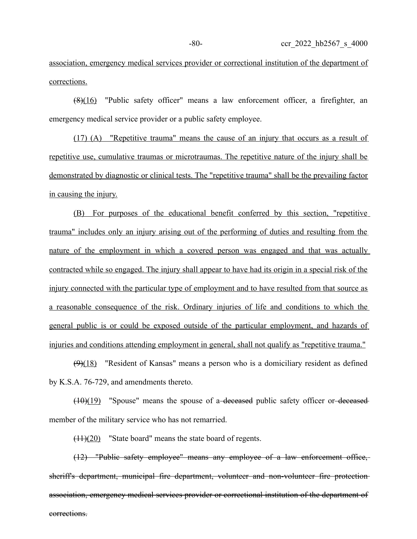association, emergency medical services provider or correctional institution of the department of corrections.

 $(8)(16)$  "Public safety officer" means a law enforcement officer, a firefighter, an emergency medical service provider or a public safety employee.

(17) (A) "Repetitive trauma" means the cause of an injury that occurs as a result of repetitive use, cumulative traumas or microtraumas. The repetitive nature of the injury shall be demonstrated by diagnostic or clinical tests. The "repetitive trauma" shall be the prevailing factor in causing the injury.

(B) For purposes of the educational benefit conferred by this section, "repetitive trauma" includes only an injury arising out of the performing of duties and resulting from the nature of the employment in which a covered person was engaged and that was actually contracted while so engaged. The injury shall appear to have had its origin in a special risk of the injury connected with the particular type of employment and to have resulted from that source as a reasonable consequence of the risk. Ordinary injuries of life and conditions to which the general public is or could be exposed outside of the particular employment, and hazards of injuries and conditions attending employment in general, shall not qualify as "repetitive trauma."

 $(9)(18)$  "Resident of Kansas" means a person who is a domiciliary resident as defined by K.S.A. 76-729, and amendments thereto.

 $(10)(19)$  "Spouse" means the spouse of a-deceased public safety officer or-deceased member of the military service who has not remarried.

(11)(20) "State board" means the state board of regents.

(12) "Public safety employee" means any employee of a law enforcement office, sheriff's department, municipal fire department, volunteer and non-volunteer fire protection association, emergency medical services provider or correctional institution of the department of corrections.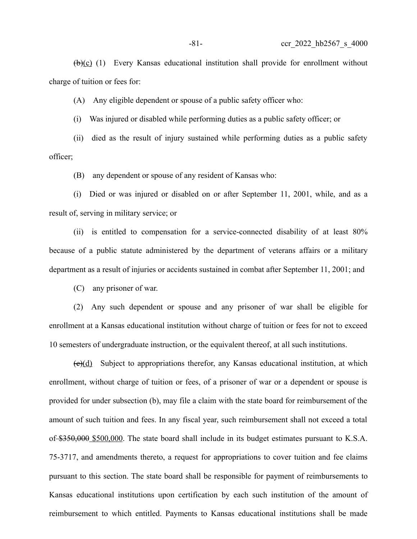$(\frac{b}{c})$  (1) Every Kansas educational institution shall provide for enrollment without charge of tuition or fees for:

(A) Any eligible dependent or spouse of a public safety officer who:

(i) Was injured or disabled while performing duties as a public safety officer; or

(ii) died as the result of injury sustained while performing duties as a public safety officer;

(B) any dependent or spouse of any resident of Kansas who:

(i) Died or was injured or disabled on or after September 11, 2001, while, and as a result of, serving in military service; or

(ii) is entitled to compensation for a service-connected disability of at least 80% because of a public statute administered by the department of veterans affairs or a military department as a result of injuries or accidents sustained in combat after September 11, 2001; and

(C) any prisoner of war.

(2) Any such dependent or spouse and any prisoner of war shall be eligible for enrollment at a Kansas educational institution without charge of tuition or fees for not to exceed 10 semesters of undergraduate instruction, or the equivalent thereof, at all such institutions.

 $\left(\frac{e}{d}\right)$  Subject to appropriations therefor, any Kansas educational institution, at which enrollment, without charge of tuition or fees, of a prisoner of war or a dependent or spouse is provided for under subsection (b), may file a claim with the state board for reimbursement of the amount of such tuition and fees. In any fiscal year, such reimbursement shall not exceed a total of \$350,000 \$500,000. The state board shall include in its budget estimates pursuant to K.S.A. 75-3717, and amendments thereto, a request for appropriations to cover tuition and fee claims pursuant to this section. The state board shall be responsible for payment of reimbursements to Kansas educational institutions upon certification by each such institution of the amount of reimbursement to which entitled. Payments to Kansas educational institutions shall be made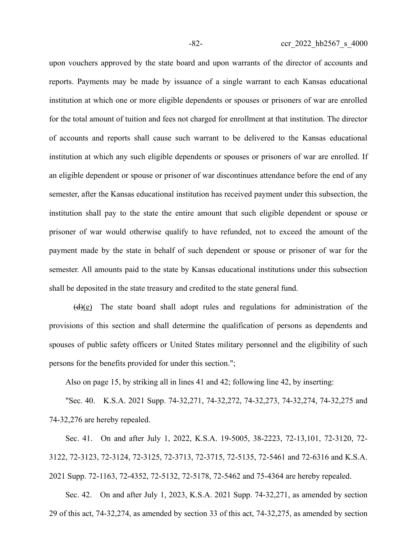upon vouchers approved by the state board and upon warrants of the director of accounts and reports. Payments may be made by issuance of a single warrant to each Kansas educational institution at which one or more eligible dependents or spouses or prisoners of war are enrolled for the total amount of tuition and fees not charged for enrollment at that institution. The director of accounts and reports shall cause such warrant to be delivered to the Kansas educational institution at which any such eligible dependents or spouses or prisoners of war are enrolled. If an eligible dependent or spouse or prisoner of war discontinues attendance before the end of any semester, after the Kansas educational institution has received payment under this subsection, the institution shall pay to the state the entire amount that such eligible dependent or spouse or prisoner of war would otherwise qualify to have refunded, not to exceed the amount of the payment made by the state in behalf of such dependent or spouse or prisoner of war for the semester. All amounts paid to the state by Kansas educational institutions under this subsection shall be deposited in the state treasury and credited to the state general fund.

 $(d)(e)$  The state board shall adopt rules and regulations for administration of the provisions of this section and shall determine the qualification of persons as dependents and spouses of public safety officers or United States military personnel and the eligibility of such persons for the benefits provided for under this section.";

Also on page 15, by striking all in lines 41 and 42; following line 42, by inserting:

"Sec. 40. K.S.A. 2021 Supp. 74-32,271, 74-32,272, 74-32,273, 74-32,274, 74-32,275 and 74-32,276 are hereby repealed.

Sec. 41. On and after July 1, 2022, K.S.A. 19-5005, 38-2223, 72-13,101, 72-3120, 72- 3122, 72-3123, 72-3124, 72-3125, 72-3713, 72-3715, 72-5135, 72-5461 and 72-6316 and K.S.A. 2021 Supp. 72-1163, 72-4352, 72-5132, 72-5178, 72-5462 and 75-4364 are hereby repealed.

Sec. 42. On and after July 1, 2023, K.S.A. 2021 Supp. 74-32,271, as amended by section 29 of this act, 74-32,274, as amended by section 33 of this act, 74-32,275, as amended by section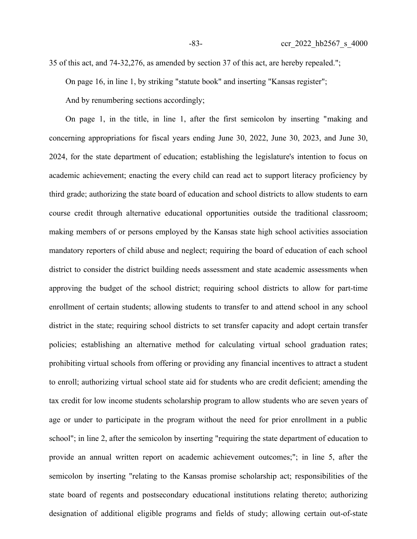35 of this act, and 74-32,276, as amended by section 37 of this act, are hereby repealed."; On page 16, in line 1, by striking "statute book" and inserting "Kansas register"; And by renumbering sections accordingly;

On page 1, in the title, in line 1, after the first semicolon by inserting "making and concerning appropriations for fiscal years ending June 30, 2022, June 30, 2023, and June 30, 2024, for the state department of education; establishing the legislature's intention to focus on academic achievement; enacting the every child can read act to support literacy proficiency by third grade; authorizing the state board of education and school districts to allow students to earn course credit through alternative educational opportunities outside the traditional classroom; making members of or persons employed by the Kansas state high school activities association mandatory reporters of child abuse and neglect; requiring the board of education of each school district to consider the district building needs assessment and state academic assessments when approving the budget of the school district; requiring school districts to allow for part-time enrollment of certain students; allowing students to transfer to and attend school in any school district in the state; requiring school districts to set transfer capacity and adopt certain transfer policies; establishing an alternative method for calculating virtual school graduation rates; prohibiting virtual schools from offering or providing any financial incentives to attract a student to enroll; authorizing virtual school state aid for students who are credit deficient; amending the tax credit for low income students scholarship program to allow students who are seven years of age or under to participate in the program without the need for prior enrollment in a public school"; in line 2, after the semicolon by inserting "requiring the state department of education to provide an annual written report on academic achievement outcomes;"; in line 5, after the semicolon by inserting "relating to the Kansas promise scholarship act; responsibilities of the state board of regents and postsecondary educational institutions relating thereto; authorizing designation of additional eligible programs and fields of study; allowing certain out-of-state